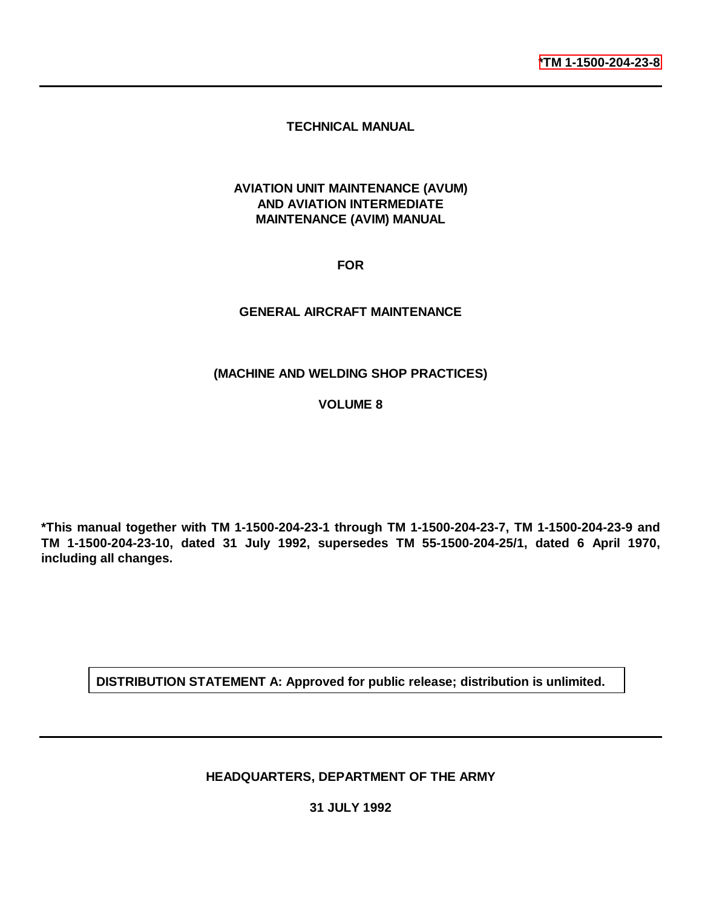#### **TECHNICAL MANUAL**

#### **AVIATION UNIT MAINTENANCE (AVUM) AND AVIATION INTERMEDIATE MAINTENANCE (AVIM) MANUAL**

#### **FOR**

#### **GENERAL AIRCRAFT MAINTENANCE**

#### **(MACHINE AND WELDING SHOP PRACTICES)**

#### **VOLUME 8**

**\*This manual together with TM 1-1500-204-23-1 through TM 1-1500-204-23-7, TM 1-1500-204-23-9 and TM 1-1500-204-23-10, dated 31 July 1992, supersedes TM 55-1500-204-25/1, dated 6 April 1970, including all changes.**

**DISTRIBUTION STATEMENT A: Approved for public release; distribution is unlimited.**

**HEADQUARTERS, DEPARTMENT OF THE ARMY**

**31 JULY 1992**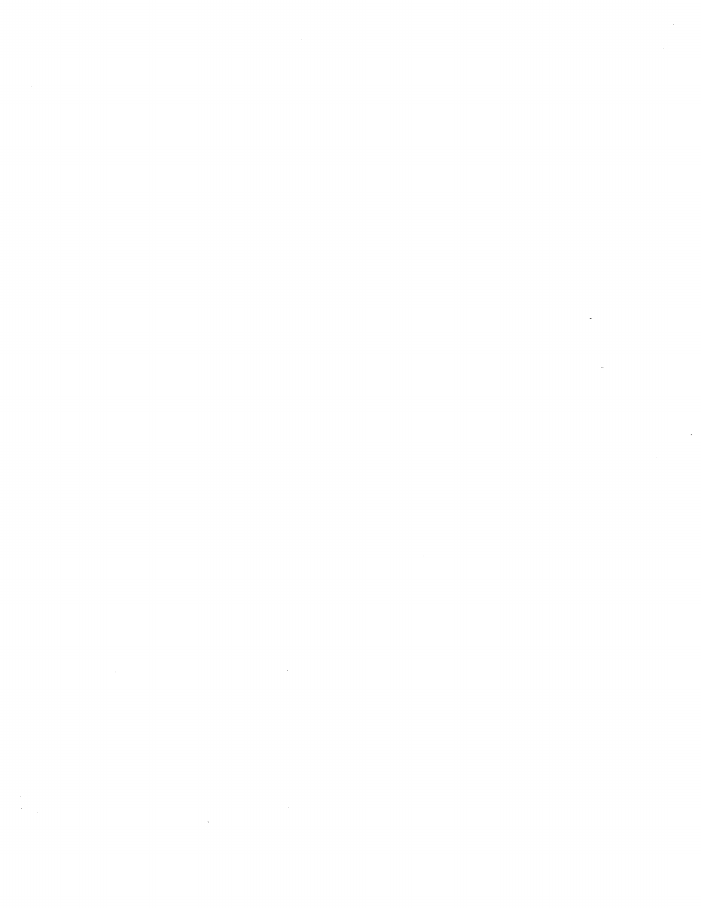$\mathcal{L}^{\text{max}}_{\text{max}}$  , where  $\mathcal{L}^{\text{max}}_{\text{max}}$  $\label{eq:2.1} \frac{1}{\sqrt{2}}\left(\frac{1}{\sqrt{2}}\right)^{2} \left(\frac{1}{\sqrt{2}}\right)^{2} \left(\frac{1}{\sqrt{2}}\right)^{2} \left(\frac{1}{\sqrt{2}}\right)^{2} \left(\frac{1}{\sqrt{2}}\right)^{2} \left(\frac{1}{\sqrt{2}}\right)^{2} \left(\frac{1}{\sqrt{2}}\right)^{2} \left(\frac{1}{\sqrt{2}}\right)^{2} \left(\frac{1}{\sqrt{2}}\right)^{2} \left(\frac{1}{\sqrt{2}}\right)^{2} \left(\frac{1}{\sqrt{2}}\right)^{2} \left(\$  $\frac{1}{2}$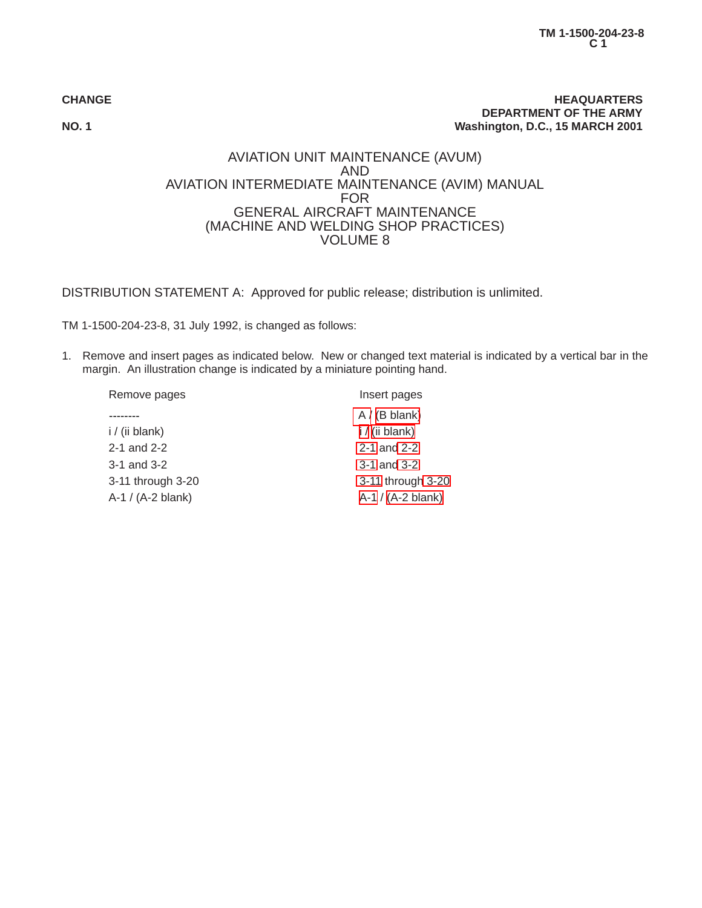#### AVIATION UNIT MAINTENANCE (AVUM) AND AVIATION INTERMEDIATE MAINTENANCE (AVIM) MANUAL FOR GENERAL AIRCRAFT MAINTENANCE (MACHINE AND WELDING SHOP PRACTICES) VOLUME 8

DISTRIBUTION STATEMENT A: Approved for public release; distribution is unlimited.

TM 1-1500-204-23-8, 31 July 1992, is changed as follows:

1. Remove and insert pages as indicated below. New or changed text material is indicated by a vertical bar in the margin. An illustration change is indicated by a miniature pointing hand.

| Remove pages        | Insert pages        |
|---------------------|---------------------|
|                     | A / (B blank)       |
| i / (ii blank)      | i / (ii blank)      |
| 2-1 and 2-2         | 2-1 and 2-2         |
| $3-1$ and $3-2$     | 3-1 and 3-2         |
| 3-11 through 3-20   | 3-11 through 3-20   |
| $A-1 / (A-2 blank)$ | $A-1 / (A-2 blank)$ |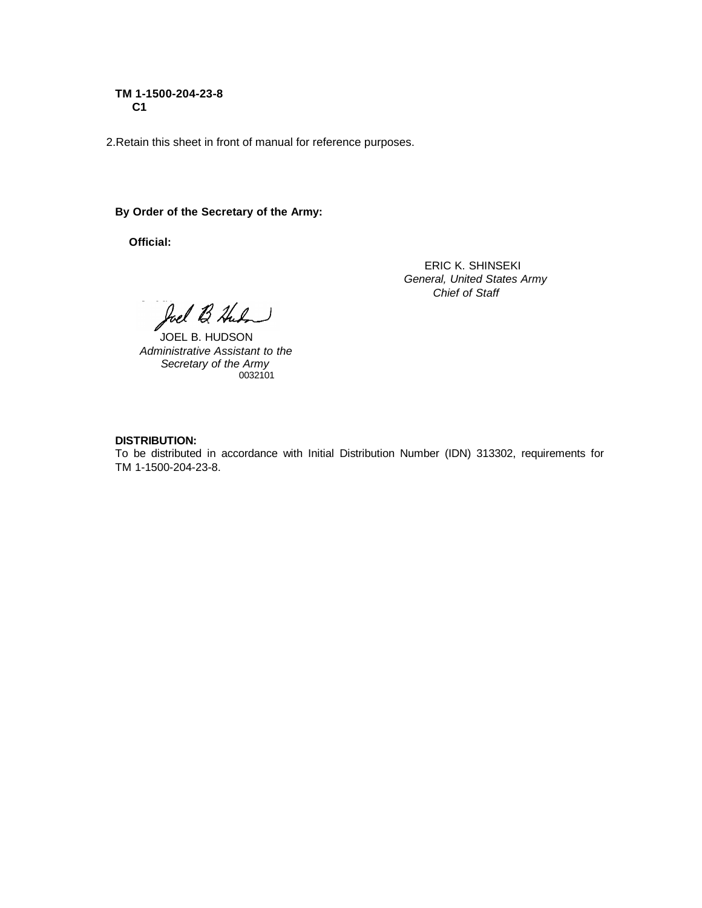#### **TM 1-1500-204-23-8 C1**

2.Retain this sheet in front of manual for reference purposes.

#### **By Order of the Secretary of the Army:**

**Official:**

ERIC K. SHINSEKI *General, United States Army Chief of Staff*

Joel B. Hub

 JOEL B. HUDSON  *Administrative Assistant to the Secretary of the Army* 0032101

#### **DISTRIBUTION:**

To be distributed in accordance with Initial Distribution Number (IDN) 313302, requirements for TM 1-1500-204-23-8.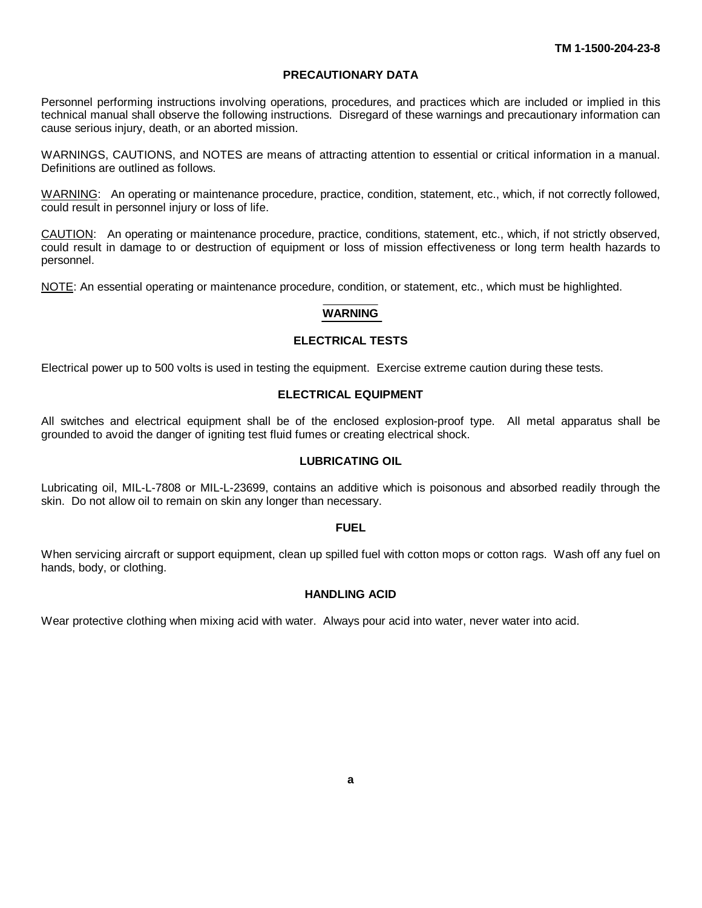#### **PRECAUTIONARY DATA**

Personnel performing instructions involving operations, procedures, and practices which are included or implied in this technical manual shall observe the following instructions. Disregard of these warnings and precautionary information can cause serious injury, death, or an aborted mission.

WARNINGS, CAUTIONS, and NOTES are means of attracting attention to essential or critical information in a manual. Definitions are outlined as follows.

WARNING: An operating or maintenance procedure, practice, condition, statement, etc., which, if not correctly followed, could result in personnel injury or loss of life.

CAUTION: An operating or maintenance procedure, practice, conditions, statement, etc., which, if not strictly observed, could result in damage to or destruction of equipment or loss of mission effectiveness or long term health hazards to personnel.

NOTE: An essential operating or maintenance procedure, condition, or statement, etc., which must be highlighted.

#### **WARNING**

#### **ELECTRICAL TESTS**

Electrical power up to 500 volts is used in testing the equipment. Exercise extreme caution during these tests.

#### **ELECTRICAL EQUIPMENT**

All switches and electrical equipment shall be of the enclosed explosion-proof type. All metal apparatus shall be grounded to avoid the danger of igniting test fluid fumes or creating electrical shock.

#### **LUBRICATING OIL**

Lubricating oil, MIL-L-7808 or MIL-L-23699, contains an additive which is poisonous and absorbed readily through the skin. Do not allow oil to remain on skin any longer than necessary.

#### **FUEL**

When servicing aircraft or support equipment, clean up spilled fuel with cotton mops or cotton rags. Wash off any fuel on hands, body, or clothing.

#### **HANDLING ACID**

Wear protective clothing when mixing acid with water. Always pour acid into water, never water into acid.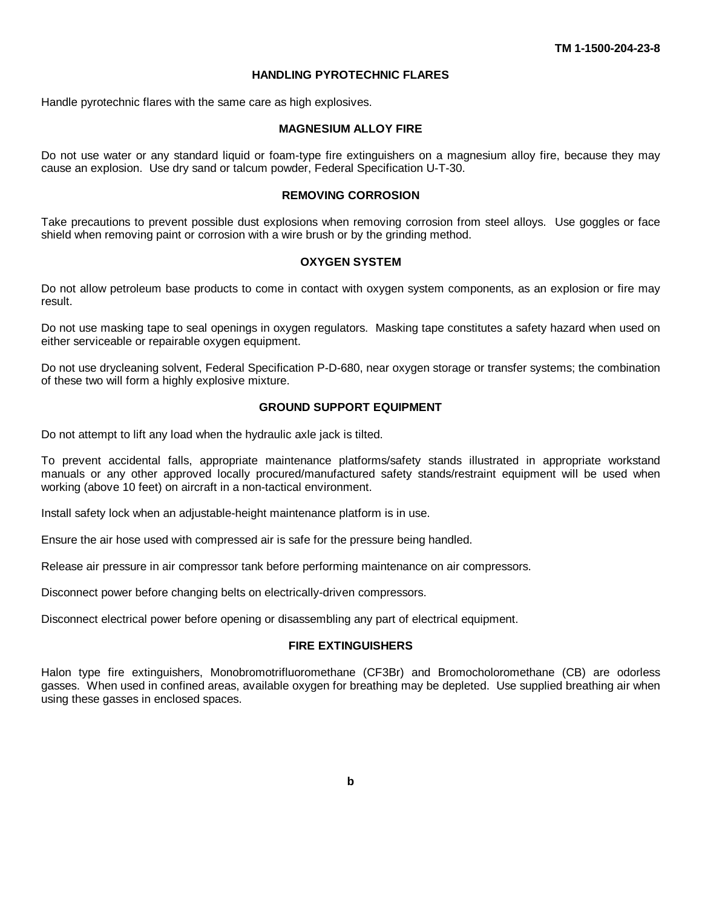#### **HANDLING PYROTECHNIC FLARES**

Handle pyrotechnic flares with the same care as high explosives.

#### **MAGNESIUM ALLOY FIRE**

Do not use water or any standard liquid or foam-type fire extinguishers on a magnesium alloy fire, because they may cause an explosion. Use dry sand or talcum powder, Federal Specification U-T-30.

#### **REMOVING CORROSION**

Take precautions to prevent possible dust explosions when removing corrosion from steel alloys. Use goggles or face shield when removing paint or corrosion with a wire brush or by the grinding method.

#### **OXYGEN SYSTEM**

Do not allow petroleum base products to come in contact with oxygen system components, as an explosion or fire may result.

Do not use masking tape to seal openings in oxygen regulators. Masking tape constitutes a safety hazard when used on either serviceable or repairable oxygen equipment.

Do not use drycleaning solvent, Federal Specification P-D-680, near oxygen storage or transfer systems; the combination of these two will form a highly explosive mixture.

#### **GROUND SUPPORT EQUIPMENT**

Do not attempt to lift any load when the hydraulic axle jack is tilted.

To prevent accidental falls, appropriate maintenance platforms/safety stands illustrated in appropriate workstand manuals or any other approved locally procured/manufactured safety stands/restraint equipment will be used when working (above 10 feet) on aircraft in a non-tactical environment.

Install safety lock when an adjustable-height maintenance platform is in use.

Ensure the air hose used with compressed air is safe for the pressure being handled.

Release air pressure in air compressor tank before performing maintenance on air compressors.

Disconnect power before changing belts on electrically-driven compressors.

Disconnect electrical power before opening or disassembling any part of electrical equipment.

#### **FIRE EXTINGUISHERS**

Halon type fire extinguishers, Monobromotrifluoromethane (CF3Br) and Bromocholoromethane (CB) are odorless gasses. When used in confined areas, available oxygen for breathing may be depleted. Use supplied breathing air when using these gasses in enclosed spaces.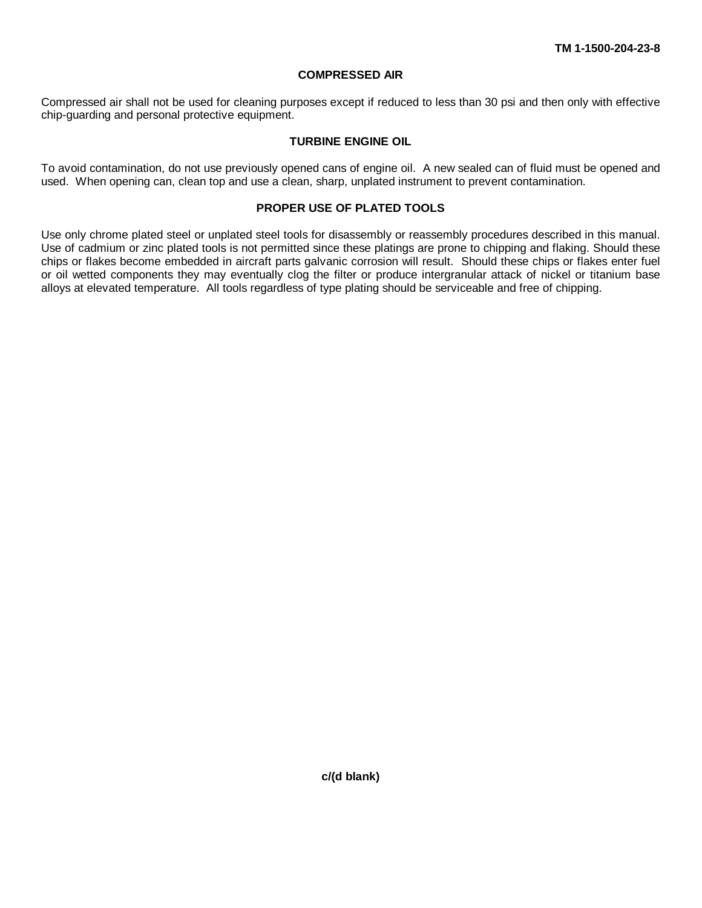#### **COMPRESSED AIR**

Compressed air shall not be used for cleaning purposes except if reduced to less than 30 psi and then only with effective chip-guarding and personal protective equipment.

#### **TURBINE ENGINE OIL**

To avoid contamination, do not use previously opened cans of engine oil. A new sealed can of fluid must be opened and used. When opening can, clean top and use a clean, sharp, unplated instrument to prevent contamination.

#### **PROPER USE OF PLATED TOOLS**

Use only chrome plated steel or unplated steel tools for disassembly or reassembly procedures described in this manual. Use of cadmium or zinc plated tools is not permitted since these platings are prone to chipping and flaking. Should these chips or flakes become embedded in aircraft parts galvanic corrosion will result. Should these chips or flakes enter fuel or oil wetted components they may eventually clog the filter or produce intergranular attack of nickel or titanium base alloys at elevated temperature. All tools regardless of type plating should be serviceable and free of chipping.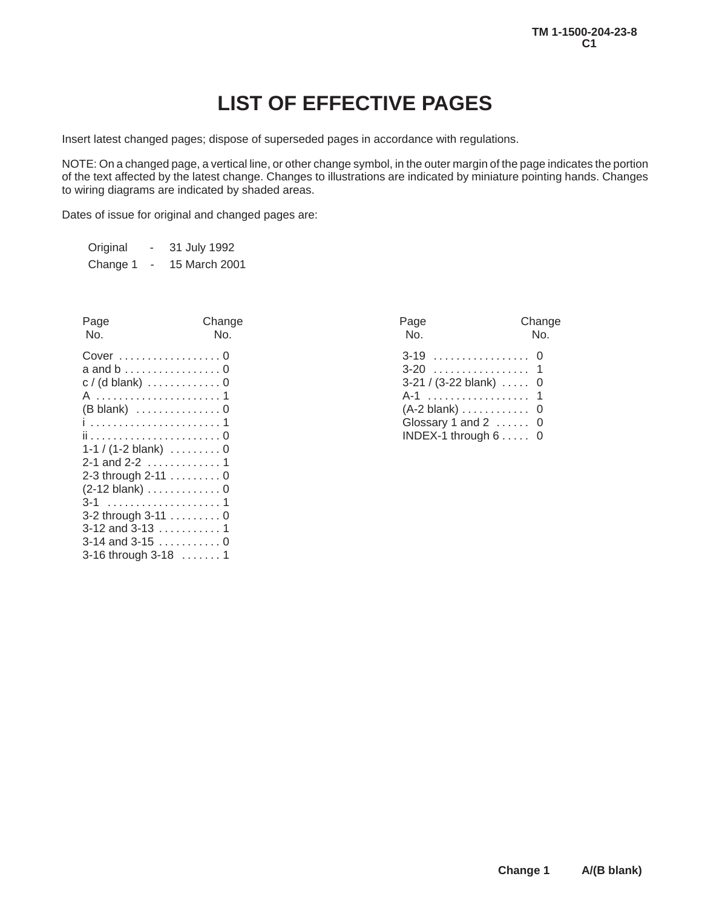## **LIST OF EFFECTIVE PAGES**

<span id="page-7-0"></span>Insert latest changed pages; dispose of superseded pages in accordance with regulations.

NOTE: On a changed page, a vertical line, or other change symbol, in the outer margin of the page indicates the portion of the text affected by the latest change. Changes to illustrations are indicated by miniature pointing hands. Changes to wiring diagrams are indicated by shaded areas.

Dates of issue for original and changed pages are:

Original - 31 July 1992 Change 1 - 15 March 2001

| Page<br>No.                                                                                                                                                                                                                                               | Change<br>No. | Page<br>No.                                                                                                                                                                      | Change<br>No. |
|-----------------------------------------------------------------------------------------------------------------------------------------------------------------------------------------------------------------------------------------------------------|---------------|----------------------------------------------------------------------------------------------------------------------------------------------------------------------------------|---------------|
| Cover 0<br>a and $b$ 0<br>$c/(d \; blank)$ 0<br>A  1<br>$(B \text{ blank})$ 0<br>$1-1/(1-2 \text{ blank}) \dots \dots 0$<br>2-3 through $2-11$ 0<br>$(2-12 \text{ blank}) \dots \dots \dots \dots \dots 0$<br>3-2 through $3-11$ 0<br>$3-14$ and $3-15$ 0 |               | 3-19 0<br>3-20 1<br>$3-21 / (3-22 \text{ blank}) \dots 0$<br>A-1 1<br>$(A-2 \text{ blank}) \ldots \ldots \ldots \ldots 0$<br>Glossary 1 and 2 $\dots$ 0<br>INDEX-1 through $6$ 0 |               |
| 3-16 through 3-18  1                                                                                                                                                                                                                                      |               |                                                                                                                                                                                  |               |

| Page<br>No.                                | Change<br>No. |
|--------------------------------------------|---------------|
| 3-19                                       | O             |
| $3-20$<br>. 1                              |               |
| $3-21 / (3-22 \text{ blank})$              | 0             |
| A-1 1                                      |               |
| $(A-2 \text{ blank}) \ldots \ldots \ldots$ | 0             |
| Glossary 1 and 2  0                        |               |
| INDEX-1 through $6$                        | $\Omega$      |
|                                            |               |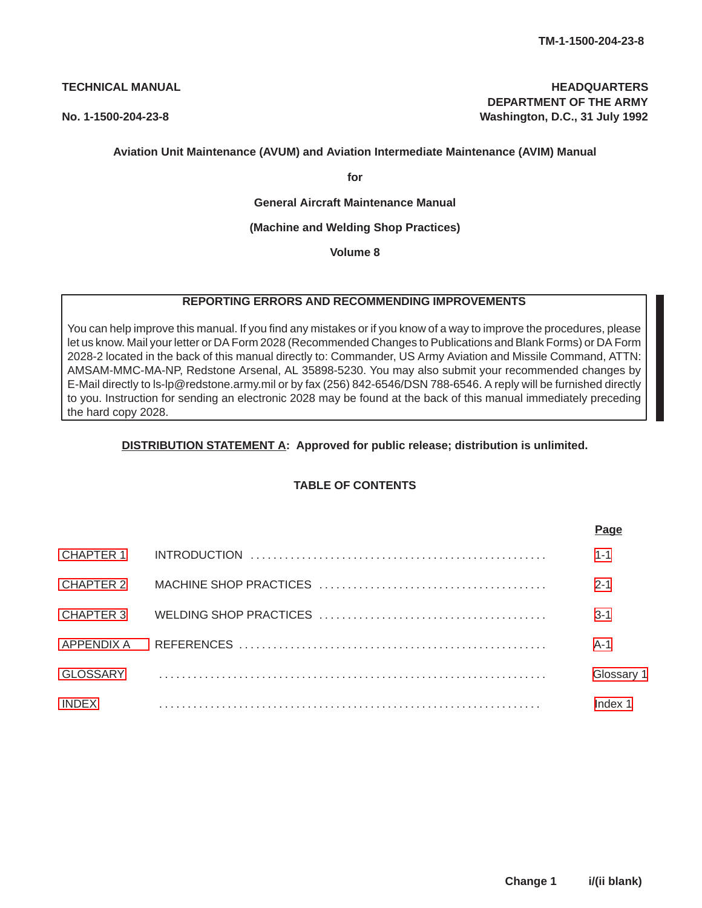<span id="page-8-0"></span>**TECHNICAL MANUAL HEADQUARTERS DEPARTMENT OF THE ARMY No. 1-1500-204-23-8 Washington, D.C., 31 July 1992**

#### **Aviation Unit Maintenance (AVUM) and Aviation Intermediate Maintenance (AVIM) Manual**

**for**

#### **General Aircraft Maintenance Manual**

**(Machine and Welding Shop Practices)**

**Volume 8**

#### **REPORTING ERRORS AND RECOMMENDING IMPROVEMENTS**

You can help improve this manual. If you find any mistakes or if you know of a way to improve the procedures, please let us know. Mail your letter or DA Form 2028 (Recommended Changes to Publications and Blank Forms) or DA Form 2028-2 located in the back of this manual directly to: Commander, US Army Aviation and Missile Command, ATTN: AMSAM-MMC-MA-NP, Redstone Arsenal, AL 35898-5230. You may also submit your recommended changes by E-Mail directly to ls-lp@redstone.army.mil or by fax (256) 842-6546/DSN 788-6546. A reply will be furnished directly to you. Instruction for sending an electronic 2028 may be found at the back of this manual immediately preceding the hard copy 2028.

#### **DISTRIBUTION STATEMENT A: Approved for public release; distribution is unlimited.**

#### **TABLE OF CONTENTS**

|                 | Page       |
|-----------------|------------|
| CHAPTER 1       | $1 - 1$    |
| CHAPTER 2       | $2 - 1$    |
| CHAPTER 3       | $3-1$      |
|                 | $A-1$      |
| <b>GLOSSARY</b> | Glossary 1 |
| <b>INDEX</b>    | Index 1    |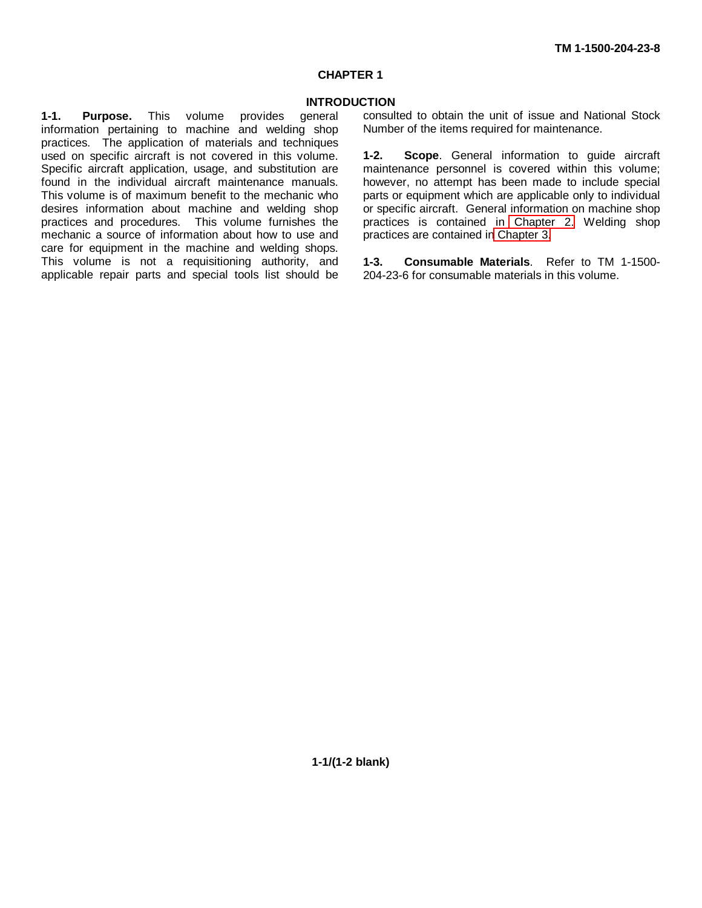#### **CHAPTER 1**

#### **INTRODUCTION**

<span id="page-9-0"></span>**1-1. Purpose.** This volume provides general information pertaining to machine and welding shop practices. The application of materials and techniques used on specific aircraft is not covered in this volume. Specific aircraft application, usage, and substitution are found in the individual aircraft maintenance manuals. This volume is of maximum benefit to the mechanic who desires information about machine and welding shop practices and procedures. This volume furnishes the mechanic a source of information about how to use and care for equipment in the machine and welding shops. This volume is not a requisitioning authority, and applicable repair parts and special tools list should be consulted to obtain the unit of issue and National Stock Number of the items required for maintenance.

**1-2. Scope**. General information to guide aircraft maintenance personnel is covered within this volume; however, no attempt has been made to include special parts or equipment which are applicable only to individual or specific aircraft. General information on machine shop practices is contained in [Chapter 2.](#page-10-0) Welding shop practices are contained i[n Chapter 3.](#page-21-0)

**1-3. Consumable Materials**. Refer to TM 1-1500- 204-23-6 for consumable materials in this volume.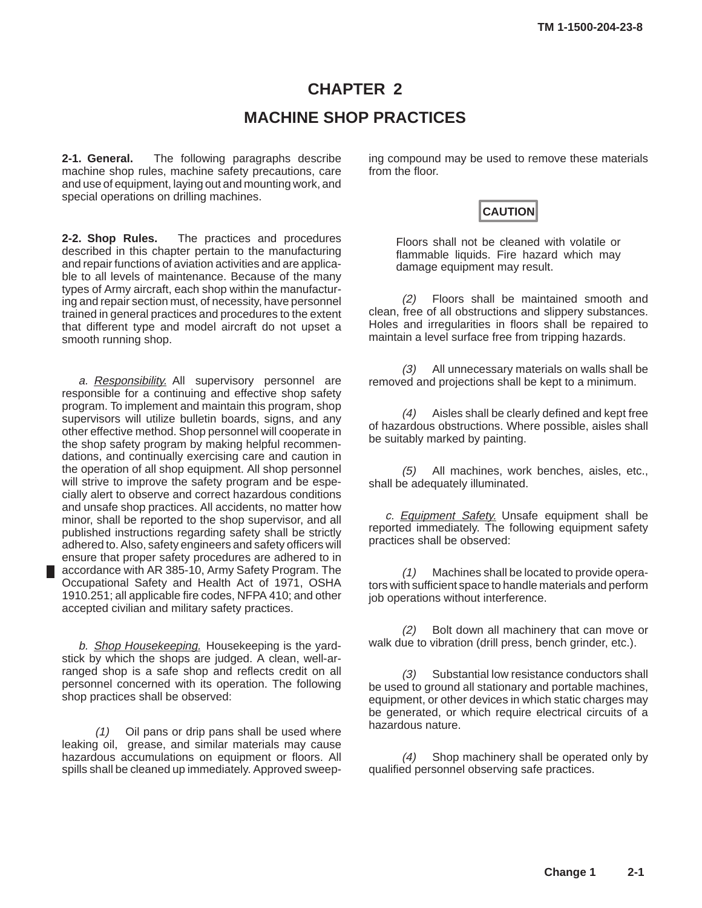## **CHAPTER 2 MACHINE SHOP PRACTICES**

<span id="page-10-0"></span>**2-1. General.** The following paragraphs describe machine shop rules, machine safety precautions, care and use of equipment, laying out and mounting work, and special operations on drilling machines.

**2-2. Shop Rules.** The practices and procedures described in this chapter pertain to the manufacturing and repair functions of aviation activities and are applicable to all levels of maintenance. Because of the many types of Army aircraft, each shop within the manufacturing and repair section must, of necessity, have personnel trained in general practices and procedures to the extent that different type and model aircraft do not upset a smooth running shop.

a. Responsibility. All supervisory personnel are responsible for a continuing and effective shop safety program. To implement and maintain this program, shop supervisors will utilize bulletin boards, signs, and any other effective method. Shop personnel will cooperate in the shop safety program by making helpful recommendations, and continually exercising care and caution in the operation of all shop equipment. All shop personnel will strive to improve the safety program and be especially alert to observe and correct hazardous conditions and unsafe shop practices. All accidents, no matter how minor, shall be reported to the shop supervisor, and all published instructions regarding safety shall be strictly adhered to. Also, safety engineers and safety officers will ensure that proper safety procedures are adhered to in accordance with AR 385-10, Army Safety Program. The Occupational Safety and Health Act of 1971, OSHA 1910.251; all applicable fire codes, NFPA 410; and other accepted civilian and military safety practices.

b. Shop Housekeeping. Housekeeping is the yardstick by which the shops are judged. A clean, well-arranged shop is a safe shop and reflects credit on all personnel concerned with its operation. The following shop practices shall be observed:

(1) Oil pans or drip pans shall be used where leaking oil, grease, and similar materials may cause hazardous accumulations on equipment or floors. All spills shall be cleaned up immediately. Approved sweeping compound may be used to remove these materials from the floor.

## **CAUTION**

Floors shall not be cleaned with volatile or flammable liquids. Fire hazard which may damage equipment may result.

(2) Floors shall be maintained smooth and clean, free of all obstructions and slippery substances. Holes and irregularities in floors shall be repaired to maintain a level surface free from tripping hazards.

(3) All unnecessary materials on walls shall be removed and projections shall be kept to a minimum.

(4) Aisles shall be clearly defined and kept free of hazardous obstructions. Where possible, aisles shall be suitably marked by painting.

(5) All machines, work benches, aisles, etc., shall be adequately illuminated.

c. Equipment Safety. Unsafe equipment shall be reported immediately. The following equipment safety practices shall be observed:

(1) Machines shall be located to provide operators with sufficient space to handle materials and perform job operations without interference.

(2) Bolt down all machinery that can move or walk due to vibration (drill press, bench grinder, etc.).

(3) Substantial low resistance conductors shall be used to ground all stationary and portable machines, equipment, or other devices in which static charges may be generated, or which require electrical circuits of a hazardous nature.

(4) Shop machinery shall be operated only by qualified personnel observing safe practices.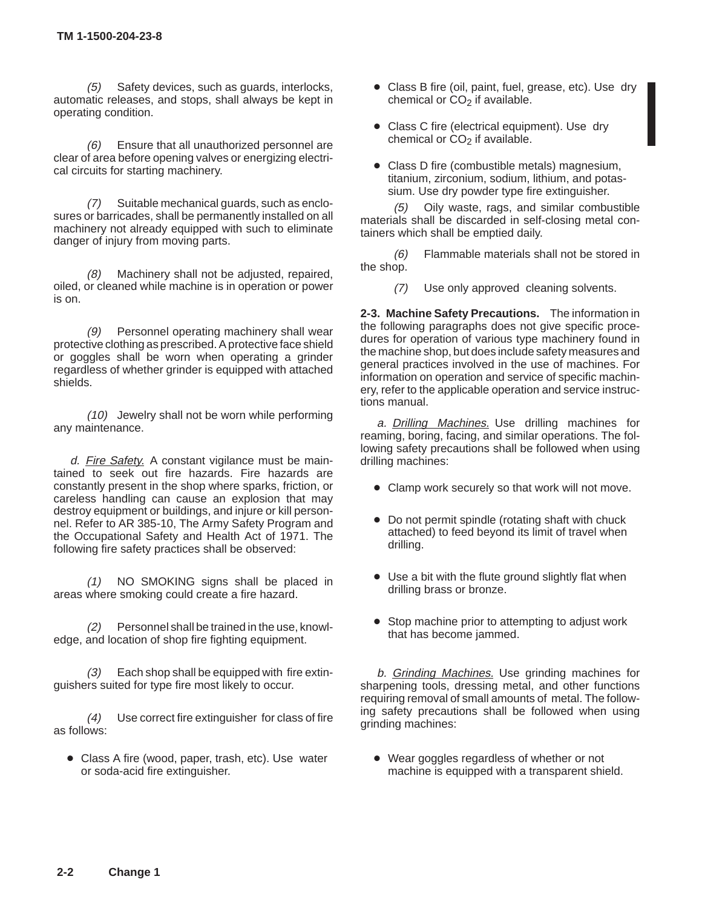<span id="page-11-0"></span>(5) Safety devices, such as guards, interlocks, automatic releases, and stops, shall always be kept in operating condition.

(6) Ensure that all unauthorized personnel are clear of area before opening valves or energizing electrical circuits for starting machinery.

(7) Suitable mechanical guards, such as enclosures or barricades, shall be permanently installed on all machinery not already equipped with such to eliminate danger of injury from moving parts.

Machinery shall not be adjusted, repaired, oiled, or cleaned while machine is in operation or power is on.

Personnel operating machinery shall wear protective clothing as prescribed. A protective face shield or goggles shall be worn when operating a grinder regardless of whether grinder is equipped with attached shields.

(10) Jewelry shall not be worn while performing any maintenance.

d. Fire Safety. A constant vigilance must be maintained to seek out fire hazards. Fire hazards are constantly present in the shop where sparks, friction, or careless handling can cause an explosion that may destroy equipment or buildings, and injure or kill personnel. Refer to AR 385-10, The Army Safety Program and the Occupational Safety and Health Act of 1971. The following fire safety practices shall be observed:

(1) NO SMOKING signs shall be placed in areas where smoking could create a fire hazard.

(2) Personnel shall be trained in the use, knowledge, and location of shop fire fighting equipment.

(3) Each shop shall be equipped with fire extinguishers suited for type fire most likely to occur.

(4) Use correct fire extinguisher for class of fire as follows:

 Class A fire (wood, paper, trash, etc). Use water or soda-acid fire extinguisher.

- Class B fire (oil, paint, fuel, grease, etc). Use dry chemical or  $CO<sub>2</sub>$  if available.
- Class C fire (electrical equipment). Use dry chemical or  $CO<sub>2</sub>$  if available.
- Class D fire (combustible metals) magnesium, titanium, zirconium, sodium, lithium, and potassium. Use dry powder type fire extinguisher.

(5) Oily waste, rags, and similar combustible materials shall be discarded in self-closing metal containers which shall be emptied daily.

(6) Flammable materials shall not be stored in the shop.

(7) Use only approved cleaning solvents.

**2-3. Machine Safety Precautions.** The information in the following paragraphs does not give specific procedures for operation of various type machinery found in the machine shop, but does include safety measures and general practices involved in the use of machines. For information on operation and service of specific machinery, refer to the applicable operation and service instructions manual.

a. Drilling Machines. Use drilling machines for reaming, boring, facing, and similar operations. The following safety precautions shall be followed when using drilling machines:

- Clamp work securely so that work will not move.
- Do not permit spindle (rotating shaft with chuck attached) to feed beyond its limit of travel when drilling.
- Use a bit with the flute ground slightly flat when drilling brass or bronze.
- $\bullet$  Stop machine prior to attempting to adjust work that has become jammed.

b. Grinding Machines. Use grinding machines for sharpening tools, dressing metal, and other functions requiring removal of small amounts of metal. The following safety precautions shall be followed when using grinding machines:

 Wear goggles regardless of whether or not machine is equipped with a transparent shield.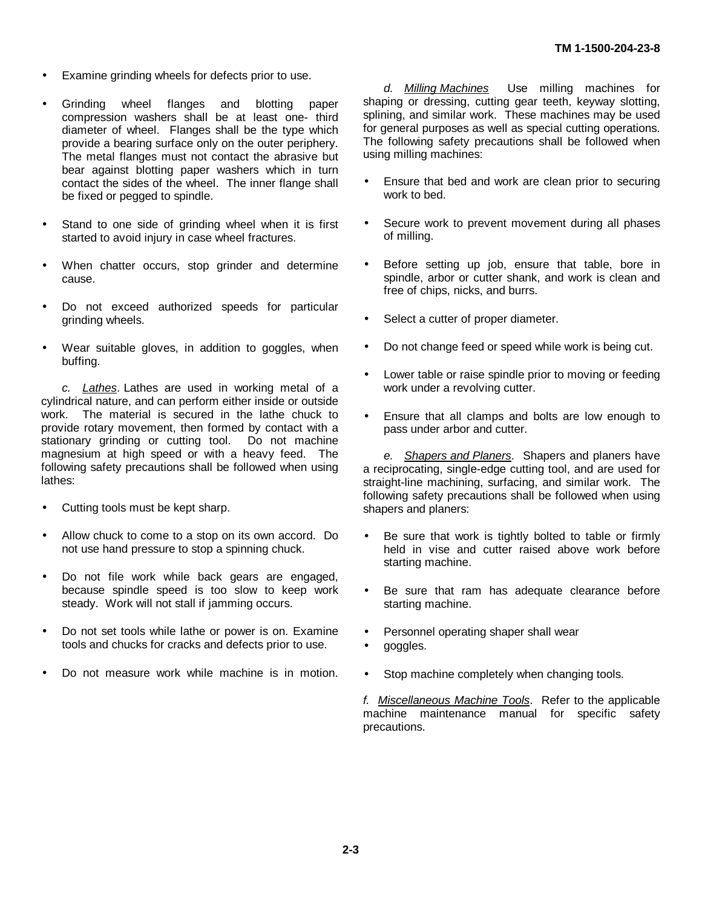- Examine grinding wheels for defects prior to use.
- Grinding wheel flanges and blotting paper compression washers shall be at least one- third diameter of wheel. Flanges shall be the type which provide a bearing surface only on the outer periphery. The metal flanges must not contact the abrasive but bear against blotting paper washers which in turn contact the sides of the wheel. The inner flange shall be fixed or pegged to spindle.
- Stand to one side of grinding wheel when it is first started to avoid injury in case wheel fractures.
- When chatter occurs, stop grinder and determine cause.
- Do not exceed authorized speeds for particular grinding wheels.
- Wear suitable gloves, in addition to goggles, when buffing.

*c. Lathes*. Lathes are used in working metal of a cylindrical nature, and can perform either inside or outside work. The material is secured in the lathe chuck to provide rotary movement, then formed by contact with a stationary grinding or cutting tool. Do not machine magnesium at high speed or with a heavy feed. The following safety precautions shall be followed when using lathes:

- Cutting tools must be kept sharp.
- Allow chuck to come to a stop on its own accord. Do not use hand pressure to stop a spinning chuck.
- Do not file work while back gears are engaged, because spindle speed is too slow to keep work steady. Work will not stall if jamming occurs.
- Do not set tools while lathe or power is on. Examine tools and chucks for cracks and defects prior to use.
- Do not measure work while machine is in motion.

*d. Milling Machines* Use milling machines for shaping or dressing, cutting gear teeth, keyway slotting, splining, and similar work. These machines may be used for general purposes as well as special cutting operations. The following safety precautions shall be followed when using milling machines:

- Ensure that bed and work are clean prior to securing work to bed.
- Secure work to prevent movement during all phases of milling.
- Before setting up job, ensure that table, bore in spindle, arbor or cutter shank, and work is clean and free of chips, nicks, and burrs.
- Select a cutter of proper diameter.
- Do not change feed or speed while work is being cut.
- Lower table or raise spindle prior to moving or feeding work under a revolving cutter.
- Ensure that all clamps and bolts are low enough to pass under arbor and cutter.

*e. Shapers and Planers*. Shapers and planers have a reciprocating, single-edge cutting tool, and are used for straight-line machining, surfacing, and similar work. The following safety precautions shall be followed when using shapers and planers:

- Be sure that work is tightly bolted to table or firmly held in vise and cutter raised above work before starting machine.
- Be sure that ram has adequate clearance before starting machine.
- Personnel operating shaper shall wear
- goggles.
- Stop machine completely when changing tools.

*f. Miscellaneous Machine Tools*. Refer to the applicable machine maintenance manual for specific safety precautions.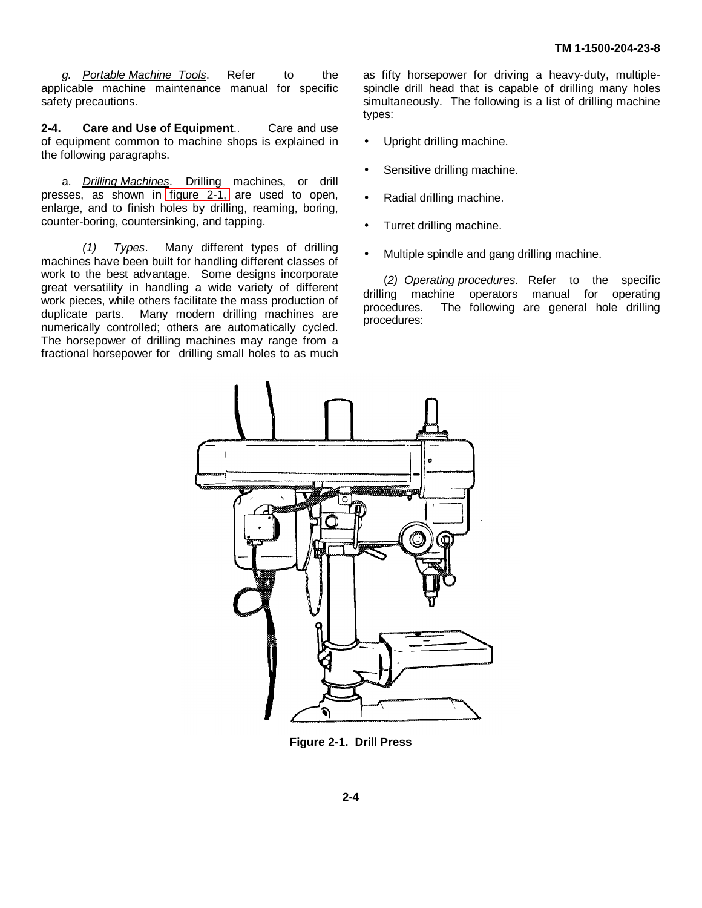*g. Portable Machine Tools*. Refer to the applicable machine maintenance manual for specific safety precautions.

**2-4. Care and Use of Equipment**.. Care and use of equipment common to machine shops is explained in the following paragraphs.

a. *Drilling Machines*. Drilling machines, or drill presses, as shown in figure 2-1, are used to open, enlarge, and to finish holes by drilling, reaming, boring, counter-boring, countersinking, and tapping.

*(1) Types*. Many different types of drilling machines have been built for handling different classes of work to the best advantage. Some designs incorporate great versatility in handling a wide variety of different work pieces, while others facilitate the mass production of duplicate parts. Many modern drilling machines are numerically controlled; others are automatically cycled. The horsepower of drilling machines may range from a fractional horsepower for drilling small holes to as much as fifty horsepower for driving a heavy-duty, multiplespindle drill head that is capable of drilling many holes simultaneously. The following is a list of drilling machine types:

- Upright drilling machine.
- Sensitive drilling machine.
- Radial drilling machine.
- Turret drilling machine.
- Multiple spindle and gang drilling machine.

(*2) Operating procedures*. Refer to the specific drilling machine operators manual for operating procedures. The following are general hole drilling procedures:



**Figure 2-1. Drill Press**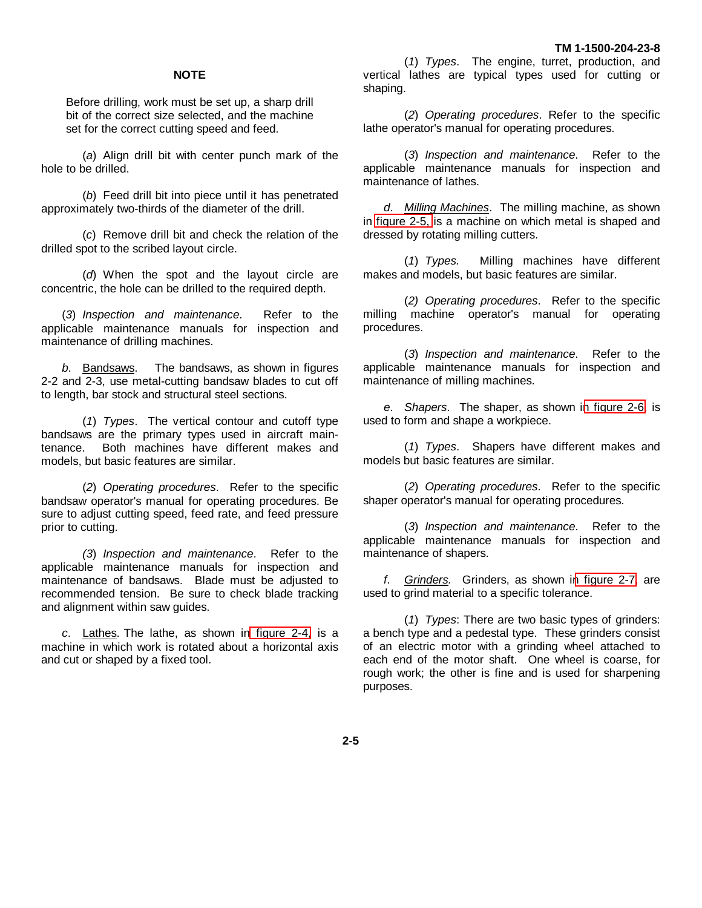#### **NOTE**

Before drilling, work must be set up, a sharp drill bit of the correct size selected, and the machine set for the correct cutting speed and feed.

(*a*) Align drill bit with center punch mark of the hole to be drilled.

(*b*) Feed drill bit into piece until it has penetrated approximately two-thirds of the diameter of the drill.

(*c*) Remove drill bit and check the relation of the drilled spot to the scribed layout circle.

(*d*) When the spot and the layout circle are concentric, the hole can be drilled to the required depth.

(*3*) *Inspection and maintenance*. Refer to the applicable maintenance manuals for inspection and maintenance of drilling machines.

*b*. Bandsaws. The bandsaws, as shown in figures 2-2 and 2-3, use metal-cutting bandsaw blades to cut off to length, bar stock and structural steel sections.

(*1*) *Types*. The vertical contour and cutoff type bandsaws are the primary types used in aircraft maintenance. Both machines have different makes and models, but basic features are similar.

(*2*) *Operating procedures*. Refer to the specific bandsaw operator's manual for operating procedures. Be sure to adjust cutting speed, feed rate, and feed pressure prior to cutting.

*(3*) *Inspection and maintenance*. Refer to the applicable maintenance manuals for inspection and maintenance of bandsaws. Blade must be adjusted to recommended tension. Be sure to check blade tracking and alignment within saw guides.

*c*. Lathes. The lathe, as shown i[n figure 2-4,](#page-16-0) is a machine in which work is rotated about a horizontal axis and cut or shaped by a fixed tool.

(*1*) *Types*. The engine, turret, production, and vertical lathes are typical types used for cutting or shaping.

(*2*) *Operating procedures*. Refer to the specific lathe operator's manual for operating procedures.

(*3*) *Inspection and maintenance*. Refer to the applicable maintenance manuals for inspection and maintenance of lathes.

*d*. *Milling Machines*. The milling machine, as shown in [figure 2-5,](#page-17-0) is a machine on which metal is shaped and dressed by rotating milling cutters.

(*1*) *Types.* Milling machines have different makes and models, but basic features are similar.

(*2) Operating procedures*. Refer to the specific milling machine operator's manual for operating procedures.

(*3*) *Inspection and maintenance*. Refer to the applicable maintenance manuals for inspection and maintenance of milling machines.

*e*. *Shapers*. The shaper, as shown i[n figure 2-6,](#page-18-0) is used to form and shape a workpiece.

(*1*) *Types*. Shapers have different makes and models but basic features are similar.

(*2*) *Operating procedures*. Refer to the specific shaper operator's manual for operating procedures.

(*3*) *Inspection and maintenance*. Refer to the applicable maintenance manuals for inspection and maintenance of shapers.

*f*. *Grinders.* Grinders, as shown i[n figure 2-7,](#page-18-0) are used to grind material to a specific tolerance.

(*1*) *Types*: There are two basic types of grinders: a bench type and a pedestal type. These grinders consist of an electric motor with a grinding wheel attached to each end of the motor shaft. One wheel is coarse, for rough work; the other is fine and is used for sharpening purposes.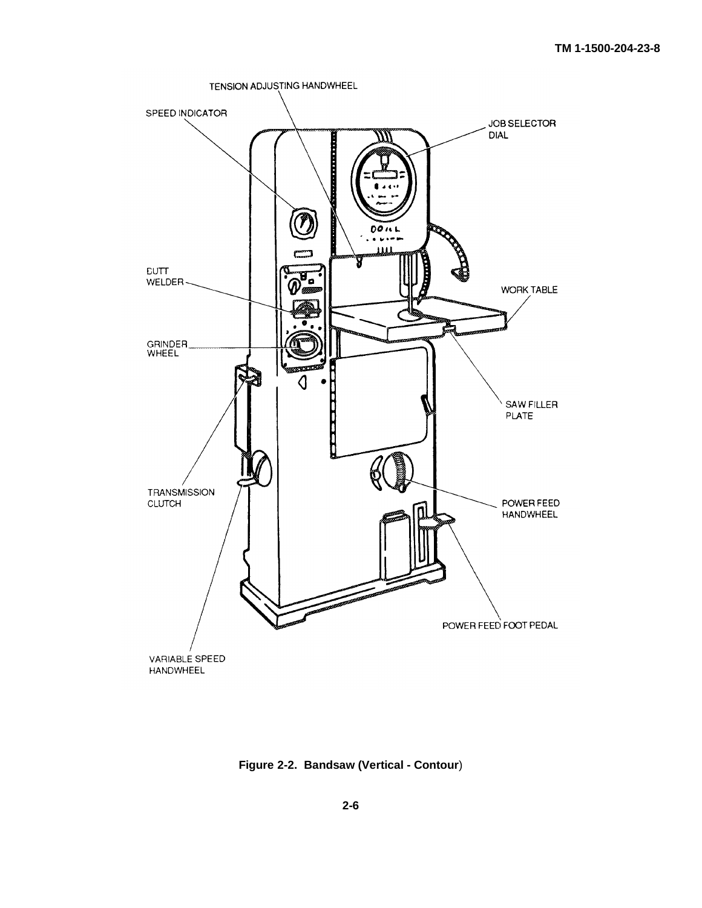

**Figure 2-2. Bandsaw (Vertical - Contour**)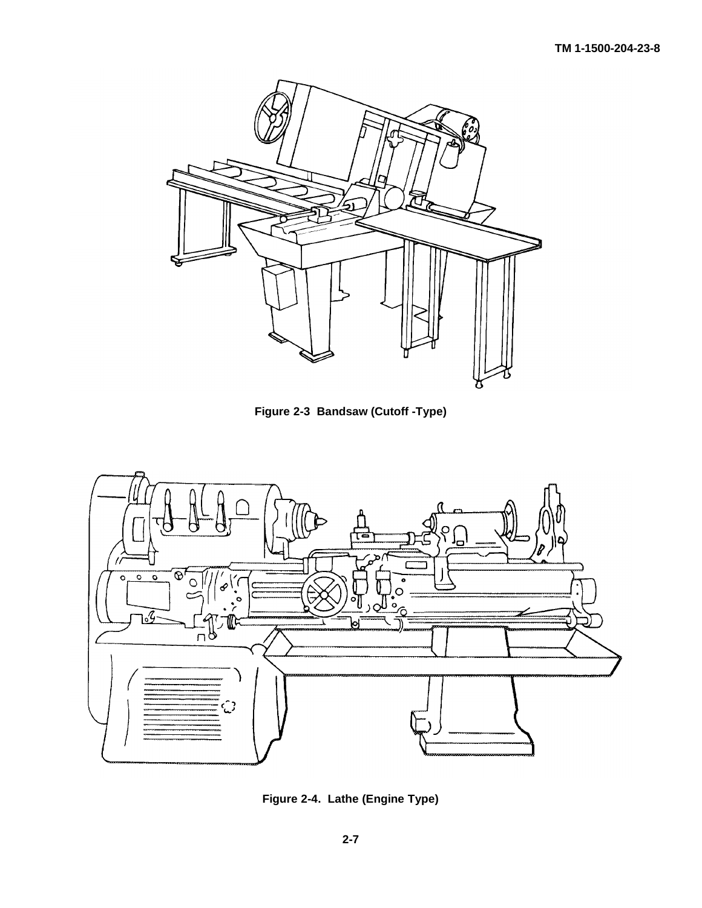<span id="page-16-0"></span>

**Figure 2-3 Bandsaw (Cutoff -Type)**



**Figure 2-4. Lathe (Engine Type)**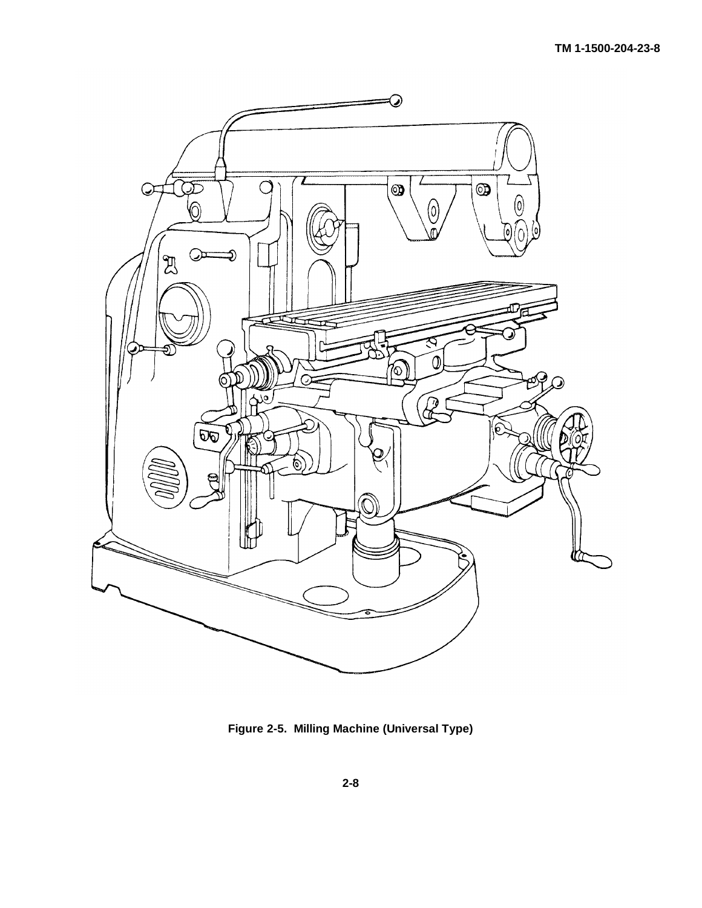<span id="page-17-0"></span>

**Figure 2-5. Milling Machine (Universal Type)**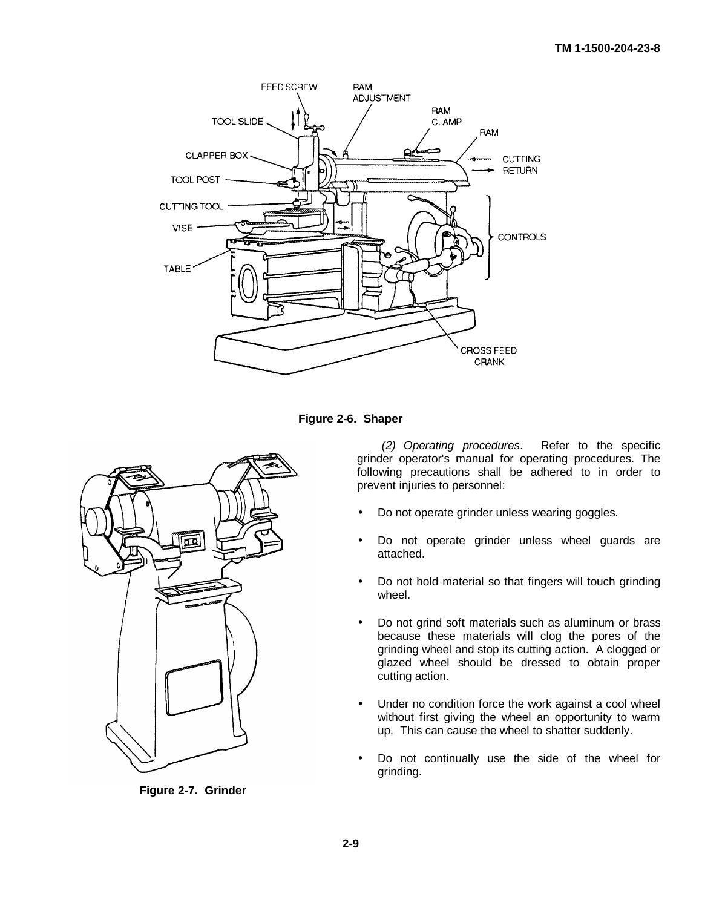<span id="page-18-0"></span>

**Figure 2-6. Shaper**



*(2) Operating procedures*. Refer to the specific grinder operator's manual for operating procedures. The following precautions shall be adhered to in order to prevent injuries to personnel:

- Do not operate grinder unless wearing goggles.
- Do not operate grinder unless wheel guards are attached.
- Do not hold material so that fingers will touch grinding wheel.
- Do not grind soft materials such as aluminum or brass because these materials will clog the pores of the grinding wheel and stop its cutting action. A clogged or glazed wheel should be dressed to obtain proper cutting action.
- Under no condition force the work against a cool wheel without first giving the wheel an opportunity to warm up. This can cause the wheel to shatter suddenly.
- Do not continually use the side of the wheel for grinding.

**Figure 2-7. Grinder**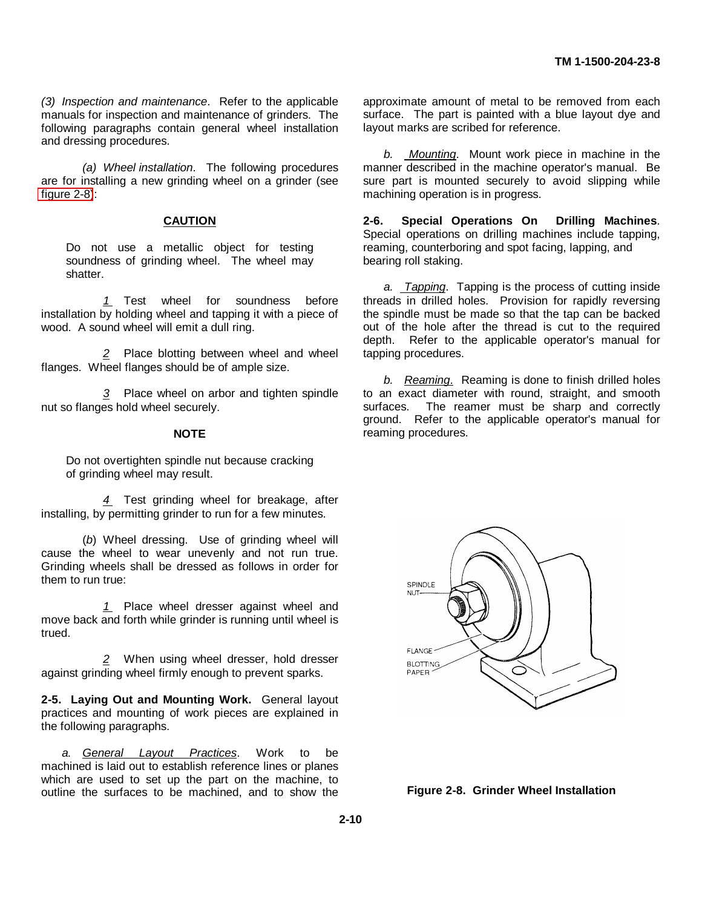*(3) Inspection and maintenance*. Refer to the applicable manuals for inspection and maintenance of grinders. The following paragraphs contain general wheel installation and dressing procedures.

*(a) Wheel installation*. The following procedures are for installing a new grinding wheel on a grinder (see figure 2-8):

#### **CAUTION**

Do not use a metallic object for testing soundness of grinding wheel. The wheel may shatter.

*1* Test wheel for soundness before installation by holding wheel and tapping it with a piece of wood. A sound wheel will emit a dull ring.

*2* Place blotting between wheel and wheel flanges. Wheel flanges should be of ample size.

*3* Place wheel on arbor and tighten spindle nut so flanges hold wheel securely.

#### **NOTE**

Do not overtighten spindle nut because cracking of grinding wheel may result.

*4* Test grinding wheel for breakage, after installing, by permitting grinder to run for a few minutes.

(*b*) Wheel dressing. Use of grinding wheel will cause the wheel to wear unevenly and not run true. Grinding wheels shall be dressed as follows in order for them to run true:

*1* Place wheel dresser against wheel and move back and forth while grinder is running until wheel is trued.

*2* When using wheel dresser, hold dresser against grinding wheel firmly enough to prevent sparks.

**2-5. Laying Out and Mounting Work.** General layout practices and mounting of work pieces are explained in the following paragraphs.

*a. General Layout Practices*. Work to be machined is laid out to establish reference lines or planes which are used to set up the part on the machine, to outline the surfaces to be machined, and to show the approximate amount of metal to be removed from each surface. The part is painted with a blue layout dye and layout marks are scribed for reference.

*b. Mounting*. Mount work piece in machine in the manner described in the machine operator's manual. Be sure part is mounted securely to avoid slipping while machining operation is in progress.

**2-6. Special Operations On Drilling Machines**. Special operations on drilling machines include tapping, reaming, counterboring and spot facing, lapping, and bearing roll staking.

*a. Tapping*. Tapping is the process of cutting inside threads in drilled holes. Provision for rapidly reversing the spindle must be made so that the tap can be backed out of the hole after the thread is cut to the required depth. Refer to the applicable operator's manual for tapping procedures.

*b. Reaming*. Reaming is done to finish drilled holes to an exact diameter with round, straight, and smooth surfaces. The reamer must be sharp and correctly ground. Refer to the applicable operator's manual for reaming procedures.



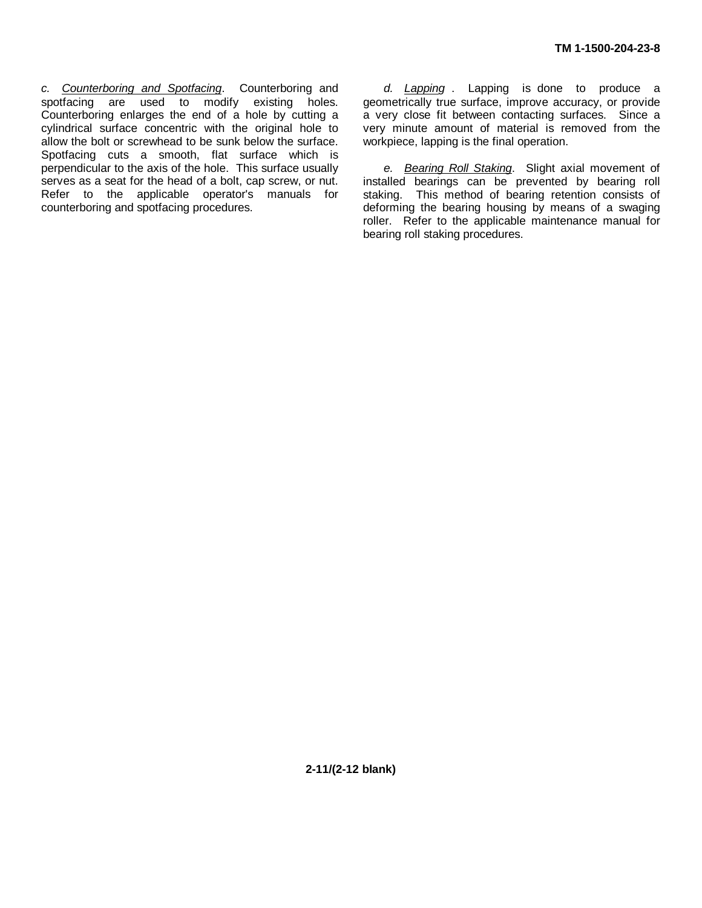*c. Counterboring and Spotfacing*. Counterboring and spotfacing are used to modify existing holes. Counterboring enlarges the end of a hole by cutting a cylindrical surface concentric with the original hole to allow the bolt or screwhead to be sunk below the surface. Spotfacing cuts a smooth, flat surface which is perpendicular to the axis of the hole. This surface usually serves as a seat for the head of a bolt, cap screw, or nut. Refer to the applicable operator's manuals for counterboring and spotfacing procedures.

*d. Lapping* . Lapping is done to produce a geometrically true surface, improve accuracy, or provide a very close fit between contacting surfaces. Since a very minute amount of material is removed from the workpiece, lapping is the final operation.

*e. Bearing Roll Staking*. Slight axial movement of installed bearings can be prevented by bearing roll staking. This method of bearing retention consists of deforming the bearing housing by means of a swaging roller. Refer to the applicable maintenance manual for bearing roll staking procedures.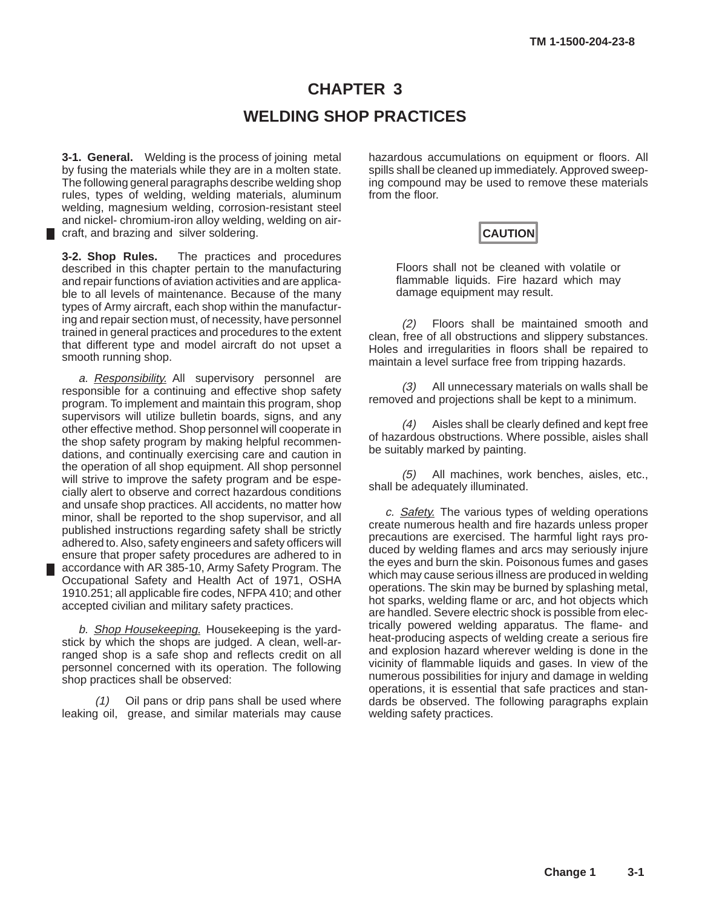## **CHAPTER 3 WELDING SHOP PRACTICES**

<span id="page-21-0"></span>**3-1. General.** Welding is the process of joining metal by fusing the materials while they are in a molten state. The following general paragraphs describe welding shop rules, types of welding, welding materials, aluminum welding, magnesium welding, corrosion-resistant steel and nickel- chromium-iron alloy welding, welding on aircraft, and brazing and silver soldering.

**3-2. Shop Rules.** The practices and procedures described in this chapter pertain to the manufacturing and repair functions of aviation activities and are applicable to all levels of maintenance. Because of the many types of Army aircraft, each shop within the manufacturing and repair section must, of necessity, have personnel trained in general practices and procedures to the extent that different type and model aircraft do not upset a smooth running shop.

a. Responsibility. All supervisory personnel are responsible for a continuing and effective shop safety program. To implement and maintain this program, shop supervisors will utilize bulletin boards, signs, and any other effective method. Shop personnel will cooperate in the shop safety program by making helpful recommendations, and continually exercising care and caution in the operation of all shop equipment. All shop personnel will strive to improve the safety program and be especially alert to observe and correct hazardous conditions and unsafe shop practices. All accidents, no matter how minor, shall be reported to the shop supervisor, and all published instructions regarding safety shall be strictly adhered to. Also, safety engineers and safety officers will ensure that proper safety procedures are adhered to in accordance with AR 385-10, Army Safety Program. The Occupational Safety and Health Act of 1971, OSHA 1910.251; all applicable fire codes, NFPA 410; and other accepted civilian and military safety practices.

b. Shop Housekeeping. Housekeeping is the yardstick by which the shops are judged. A clean, well-arranged shop is a safe shop and reflects credit on all personnel concerned with its operation. The following shop practices shall be observed:

(1) Oil pans or drip pans shall be used where leaking oil, grease, and similar materials may cause

hazardous accumulations on equipment or floors. All spills shall be cleaned up immediately. Approved sweeping compound may be used to remove these materials from the floor.

## **CAUTION**

Floors shall not be cleaned with volatile or flammable liquids. Fire hazard which may damage equipment may result.

(2) Floors shall be maintained smooth and clean, free of all obstructions and slippery substances. Holes and irregularities in floors shall be repaired to maintain a level surface free from tripping hazards.

(3) All unnecessary materials on walls shall be removed and projections shall be kept to a minimum.

(4) Aisles shall be clearly defined and kept free of hazardous obstructions. Where possible, aisles shall be suitably marked by painting.

(5) All machines, work benches, aisles, etc., shall be adequately illuminated.

c. Safety. The various types of welding operations create numerous health and fire hazards unless proper precautions are exercised. The harmful light rays produced by welding flames and arcs may seriously injure the eyes and burn the skin. Poisonous fumes and gases which may cause serious illness are produced in welding operations. The skin may be burned by splashing metal, hot sparks, welding flame or arc, and hot objects which are handled. Severe electric shock is possible from electrically powered welding apparatus. The flame- and heat-producing aspects of welding create a serious fire and explosion hazard wherever welding is done in the vicinity of flammable liquids and gases. In view of the numerous possibilities for injury and damage in welding operations, it is essential that safe practices and standards be observed. The following paragraphs explain welding safety practices.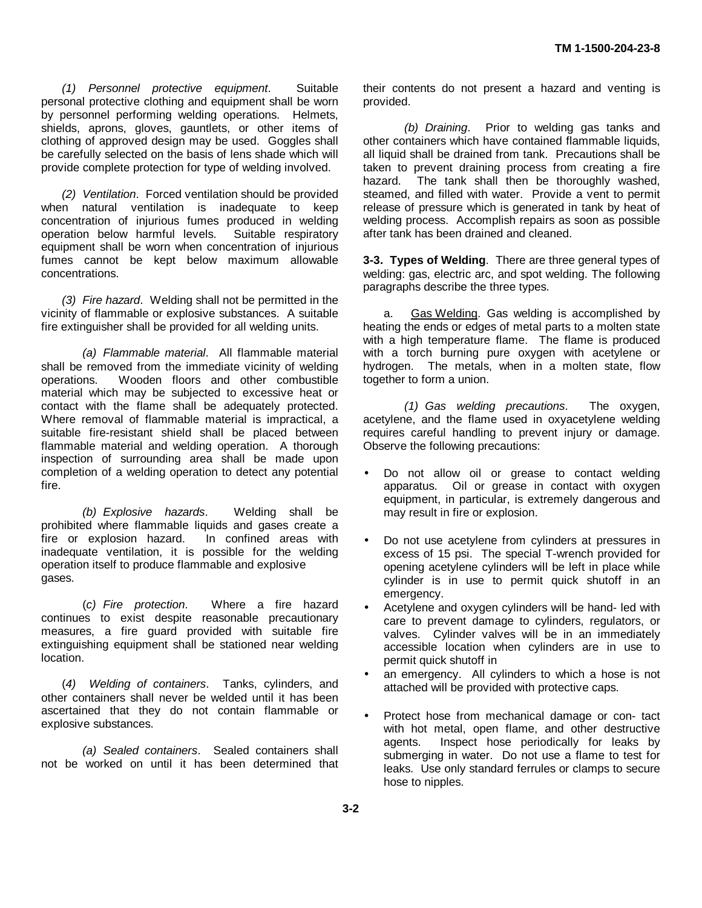<span id="page-22-0"></span>*(1) Personnel protective equipment*. Suitable personal protective clothing and equipment shall be worn by personnel performing welding operations. Helmets, shields, aprons, gloves, gauntlets, or other items of clothing of approved design may be used. Goggles shall be carefully selected on the basis of lens shade which will provide complete protection for type of welding involved.

*(2) Ventilation*. Forced ventilation should be provided when natural ventilation is inadequate to keep concentration of injurious fumes produced in welding operation below harmful levels. Suitable respiratory equipment shall be worn when concentration of injurious fumes cannot be kept below maximum allowable concentrations.

*(3) Fire hazard*. Welding shall not be permitted in the vicinity of flammable or explosive substances. A suitable fire extinguisher shall be provided for all welding units.

*(a) Flammable material*. All flammable material shall be removed from the immediate vicinity of welding operations. Wooden floors and other combustible material which may be subjected to excessive heat or contact with the flame shall be adequately protected. Where removal of flammable material is impractical, a suitable fire-resistant shield shall be placed between flammable material and welding operation. A thorough inspection of surrounding area shall be made upon completion of a welding operation to detect any potential fire.

*(b) Explosive hazards*. Welding shall be prohibited where flammable liquids and gases create a fire or explosion hazard. In confined areas with inadequate ventilation, it is possible for the welding operation itself to produce flammable and explosive gases.

(*c) Fire protection*. Where a fire hazard continues to exist despite reasonable precautionary measures, a fire guard provided with suitable fire extinguishing equipment shall be stationed near welding location.

(*4) Welding of containers*. Tanks, cylinders, and other containers shall never be welded until it has been ascertained that they do not contain flammable or explosive substances.

*(a) Sealed containers*. Sealed containers shall not be worked on until it has been determined that their contents do not present a hazard and venting is provided.

*(b) Draining*. Prior to welding gas tanks and other containers which have contained flammable liquids, all liquid shall be drained from tank. Precautions shall be taken to prevent draining process from creating a fire hazard. The tank shall then be thoroughly washed, steamed, and filled with water. Provide a vent to permit release of pressure which is generated in tank by heat of welding process. Accomplish repairs as soon as possible after tank has been drained and cleaned.

**3-3. Types of Welding**. There are three general types of welding: gas, electric arc, and spot welding. The following paragraphs describe the three types.

a. Gas Welding. Gas welding is accomplished by heating the ends or edges of metal parts to a molten state with a high temperature flame. The flame is produced with a torch burning pure oxygen with acetylene or hydrogen. The metals, when in a molten state, flow together to form a union.

*(1) Gas welding precautions*. The oxygen, acetylene, and the flame used in oxyacetylene welding requires careful handling to prevent injury or damage. Observe the following precautions:

- Do not allow oil or grease to contact welding apparatus. Oil or grease in contact with oxygen equipment, in particular, is extremely dangerous and may result in fire or explosion.
- Do not use acetylene from cylinders at pressures in excess of 15 psi. The special T-wrench provided for opening acetylene cylinders will be left in place while cylinder is in use to permit quick shutoff in an emergency.
- Acetylene and oxygen cylinders will be hand- led with care to prevent damage to cylinders, regulators, or valves. Cylinder valves will be in an immediately accessible location when cylinders are in use to permit quick shutoff in
- an emergency. All cylinders to which a hose is not attached will be provided with protective caps.
- Protect hose from mechanical damage or con- tact with hot metal, open flame, and other destructive agents. Inspect hose periodically for leaks by submerging in water. Do not use a flame to test for leaks. Use only standard ferrules or clamps to secure hose to nipples.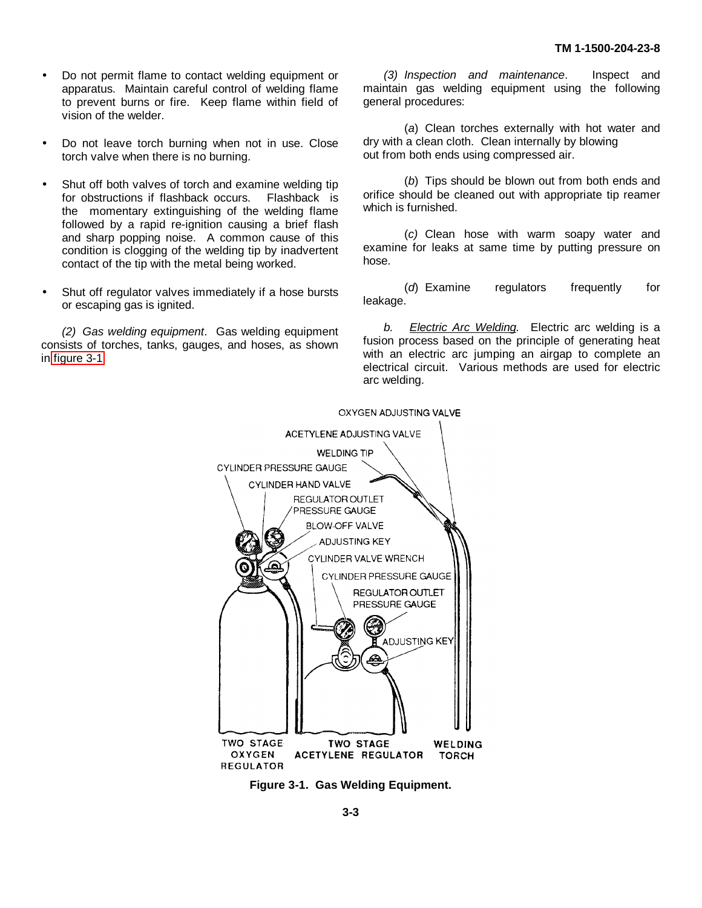- Do not permit flame to contact welding equipment or apparatus. Maintain careful control of welding flame to prevent burns or fire. Keep flame within field of vision of the welder.
- Do not leave torch burning when not in use. Close torch valve when there is no burning.
- Shut off both valves of torch and examine welding tip for obstructions if flashback occurs. Flashback is the momentary extinguishing of the welding flame followed by a rapid re-ignition causing a brief flash and sharp popping noise. A common cause of this condition is clogging of the welding tip by inadvertent contact of the tip with the metal being worked.
- Shut off regulator valves immediately if a hose bursts or escaping gas is ignited.

*(2) Gas welding equipment*. Gas welding equipment consists of torches, tanks, gauges, and hoses, as shown in figure 3-1.

*(3) Inspection and maintenance*. Inspect and maintain gas welding equipment using the following general procedures:

(*a*) Clean torches externally with hot water and dry with a clean cloth. Clean internally by blowing out from both ends using compressed air.

(*b*) Tips should be blown out from both ends and orifice should be cleaned out with appropriate tip reamer which is furnished.

(*c)* Clean hose with warm soapy water and examine for leaks at same time by putting pressure on hose.

(*d*) Examine regulators frequently for leakage.

*b. Electric Arc Welding.* Electric arc welding is a fusion process based on the principle of generating heat with an electric arc jumping an airgap to complete an electrical circuit. Various methods are used for electric arc welding.



OXYGEN ADJUSTING VALVE

**Figure 3-1. Gas Welding Equipment.**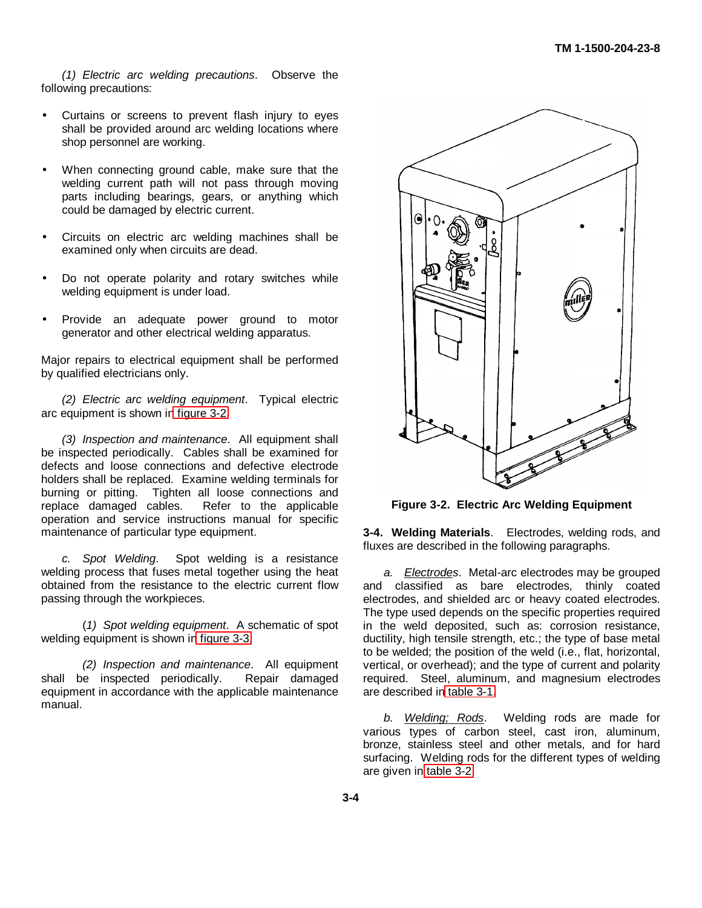*(1) Electric arc welding precautions*. Observe the following precautions:

- Curtains or screens to prevent flash injury to eyes shall be provided around arc welding locations where shop personnel are working.
- When connecting ground cable, make sure that the welding current path will not pass through moving parts including bearings, gears, or anything which could be damaged by electric current.
- Circuits on electric arc welding machines shall be examined only when circuits are dead.
- Do not operate polarity and rotary switches while welding equipment is under load.
- Provide an adequate power ground to motor generator and other electrical welding apparatus.

Major repairs to electrical equipment shall be performed by qualified electricians only.

*(2) Electric arc welding equipment*. Typical electric arc equipment is shown in figure 3-2.

*(3) Inspection and maintenance*. All equipment shall be inspected periodically. Cables shall be examined for defects and loose connections and defective electrode holders shall be replaced. Examine welding terminals for burning or pitting. Tighten all loose connections and replace damaged cables. Refer to the applicable operation and service instructions manual for specific maintenance of particular type equipment.

*c. Spot Welding*. Spot welding is a resistance welding process that fuses metal together using the heat obtained from the resistance to the electric current flow passing through the workpieces.

(*1) Spot welding equipment*. A schematic of spot welding equipment is shown i[n figure 3-3.](#page-25-0)

*(2) Inspection and maintenance*. All equipment shall be inspected periodically. Repair damaged equipment in accordance with the applicable maintenance manual.



**Figure 3-2. Electric Arc Welding Equipment**

**3-4. Welding Materials**. Electrodes, welding rods, and fluxes are described in the following paragraphs.

*a. Electrodes*. Metal-arc electrodes may be grouped and classified as bare electrodes, thinly coated electrodes, and shielded arc or heavy coated electrodes. The type used depends on the specific properties required in the weld deposited, such as: corrosion resistance, ductility, high tensile strength, etc.; the type of base metal to be welded; the position of the weld (i.e., flat, horizontal, vertical, or overhead); and the type of current and polarity required. Steel, aluminum, and magnesium electrodes are described i[n table 3-1.](#page-26-0)

*b. Welding; Rods*. Welding rods are made for various types of carbon steel, cast iron, aluminum, bronze, stainless steel and other metals, and for hard surfacing. Welding rods for the different types of welding are given in [table 3-2.](#page-28-0)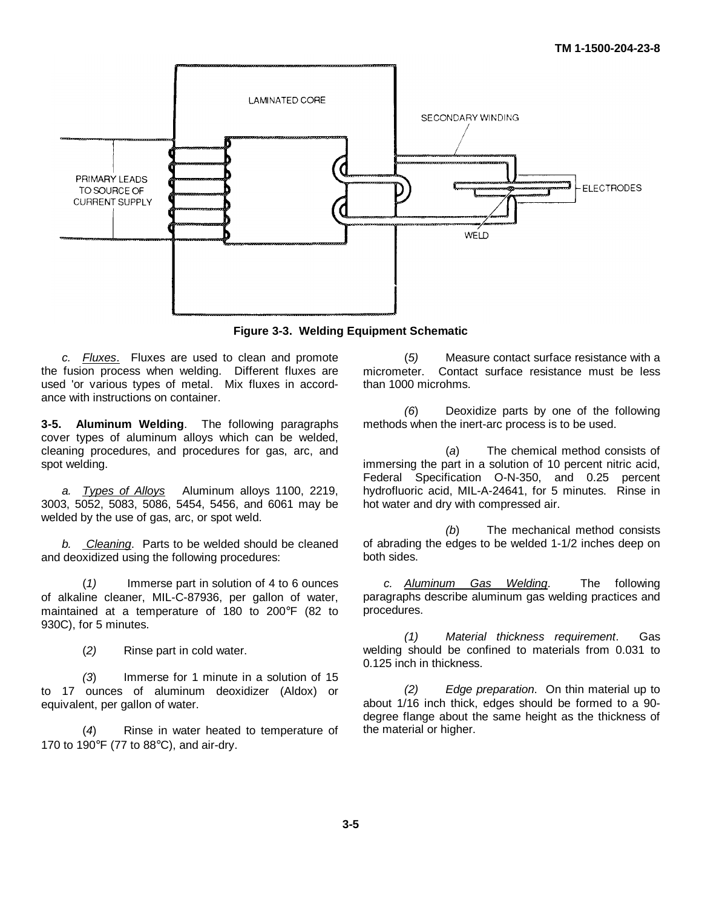<span id="page-25-0"></span>

**Figure 3-3. Welding Equipment Schematic**

*c. Fluxes*. Fluxes are used to clean and promote the fusion process when welding. Different fluxes are used 'or various types of metal. Mix fluxes in accordance with instructions on container.

**3-5. Aluminum Welding**. The following paragraphs cover types of aluminum alloys which can be welded, cleaning procedures, and procedures for gas, arc, and spot welding.

*a. Types of Alloys* Aluminum alloys 1100, 2219, 3003, 5052, 5083, 5086, 5454, 5456, and 6061 may be welded by the use of gas, arc, or spot weld.

*b. Cleaning*. Parts to be welded should be cleaned and deoxidized using the following procedures:

(*1)* Immerse part in solution of 4 to 6 ounces of alkaline cleaner, MIL-C-87936, per gallon of water, maintained at a temperature of 180 to 200°F (82 to 930C), for 5 minutes.

(*2)* Rinse part in cold water.

*(3*) Immerse for 1 minute in a solution of 15 to 17 ounces of aluminum deoxidizer (Aldox) or equivalent, per gallon of water.

(*4*) Rinse in water heated to temperature of 170 to 190 $\degree$ F (77 to 88 $\degree$ C), and air-dry.

(*5)* Measure contact surface resistance with a micrometer. Contact surface resistance must be less than 1000 microhms.

*(6*) Deoxidize parts by one of the following methods when the inert-arc process is to be used.

(*a*) The chemical method consists of immersing the part in a solution of 10 percent nitric acid, Federal Specification O-N-350, and 0.25 percent hydrofluoric acid, MIL-A-24641, for 5 minutes. Rinse in hot water and dry with compressed air.

*(b*) The mechanical method consists of abrading the edges to be welded 1-1/2 inches deep on both sides.

*c. Aluminum Gas Welding*. The following paragraphs describe aluminum gas welding practices and procedures.

*(1) Material thickness requirement*. Gas welding should be confined to materials from 0.031 to 0.125 inch in thickness.

*(2) Edge preparation*. On thin material up to about 1/16 inch thick, edges should be formed to a 90 degree flange about the same height as the thickness of the material or higher.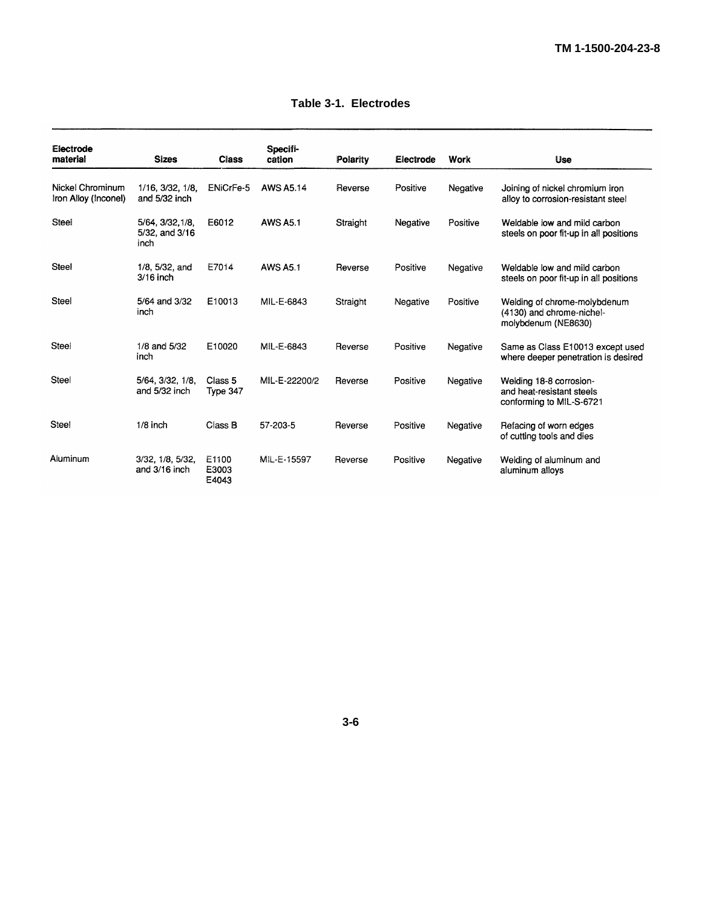<span id="page-26-0"></span>

| Electrode<br>material                    | <b>Sizes</b>                               | Class                   | Specifi-<br>cation | Polarity | Electrode | Work     | Use                                                                              |
|------------------------------------------|--------------------------------------------|-------------------------|--------------------|----------|-----------|----------|----------------------------------------------------------------------------------|
| Nickel Chrominum<br>Iron Alloy (Inconel) | $1/16$ , $3/32$ , $1/8$ ,<br>and 5/32 inch | ENiCrFe-5               | <b>AWS A5.14</b>   | Reverse  | Positive  | Negative | Joining of nickel chromium iron<br>alloy to corrosion-resistant steel            |
| Steel                                    | 5/64, 3/32, 1/8,<br>5/32, and 3/16<br>inch | E6012                   | <b>AWS A5.1</b>    | Straight | Negative  | Positive | Weldable low and mild carbon<br>steels on poor fit-up in all positions           |
| Steel                                    | 1/8, 5/32, and<br>$3/16$ inch              | E7014                   | <b>AWS A5.1</b>    | Reverse  | Positive  | Negative | Weldable low and mild carbon<br>steels on poor fit-up in all positions           |
| Steel                                    | 5/64 and 3/32<br>inch                      | E10013                  | MIL-E-6843         | Straight | Negative  | Positive | Welding of chrome-molybdenum<br>(4130) and chrome-nichel-<br>molybdenum (NE8630) |
| Steel                                    | 1/8 and 5/32<br>inch                       | E10020                  | MIL-E-6843         | Reverse  | Positive  | Negative | Same as Class E10013 except used<br>where deeper penetration is desired          |
| Steel                                    | 5/64, 3/32, 1/8,<br>and 5/32 inch          | Class 5<br>Type 347     | MIL-E-22200/2      | Reverse  | Positive  | Negative | Welding 18-8 corrosion-<br>and heat-resistant steels<br>conforming to MIL-S-6721 |
| Steel                                    | $1/8$ inch                                 | Class B                 | 57-203-5           | Reverse  | Positive  | Negative | Refacing of worn edges<br>of cutting tools and dies                              |
| Aluminum                                 | $3/32$ , $1/8$ , $5/32$ ,<br>and 3/16 inch | E1100<br>E3003<br>E4043 | MIL-E-15597        | Reverse  | Positive  | Negative | Welding of aluminum and<br>aluminum alloys                                       |

#### **Table 3-1. Electrodes**

**3-6**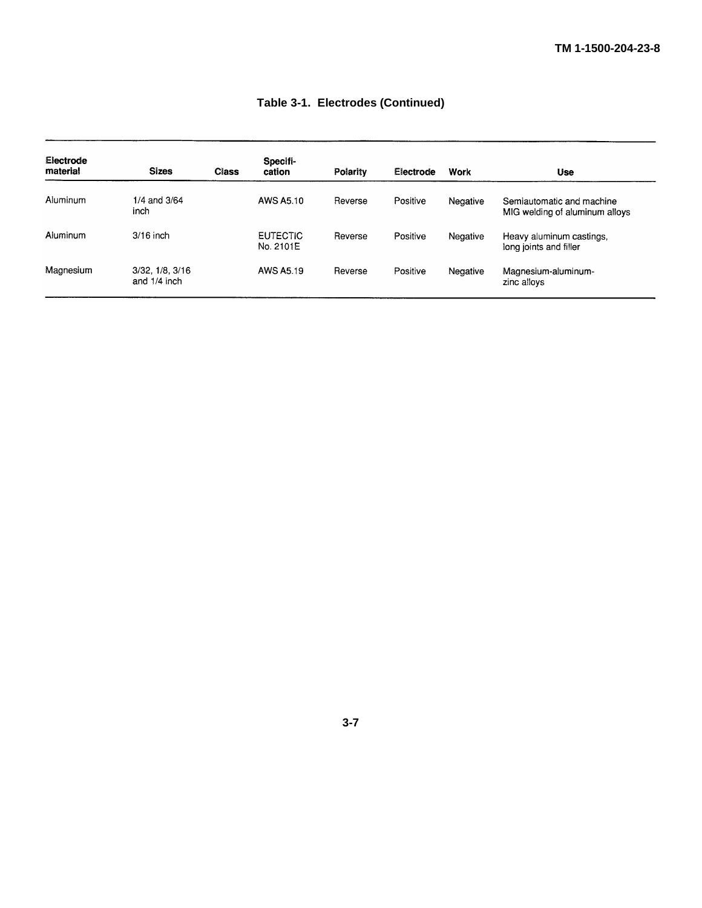| Electrode<br>material | <b>Sizes</b>                    | Class | Specifi-<br>cation           | Polarity | Electrode | Work     | <b>Use</b>                                                  |
|-----------------------|---------------------------------|-------|------------------------------|----------|-----------|----------|-------------------------------------------------------------|
| Aluminum              | 1/4 and 3/64<br>inch            |       | <b>AWS A5.10</b>             | Reverse  | Positive  | Negative | Semiautomatic and machine<br>MIG welding of aluminum alloys |
| Aluminum              | $3/16$ inch                     |       | <b>EUTECTIC</b><br>No. 2101E | Reverse  | Positive  | Negative | Heavy aluminum castings,<br>long joints and filler          |
| Magnesium             | 3/32, 1/8, 3/16<br>and 1/4 inch |       | <b>AWS A5.19</b>             | Reverse  | Positive  | Negative | Magnesium-aluminum-<br>zinc alloys                          |

| Table 3-1. Electrodes (Continued) |  |
|-----------------------------------|--|
|-----------------------------------|--|

**3-7**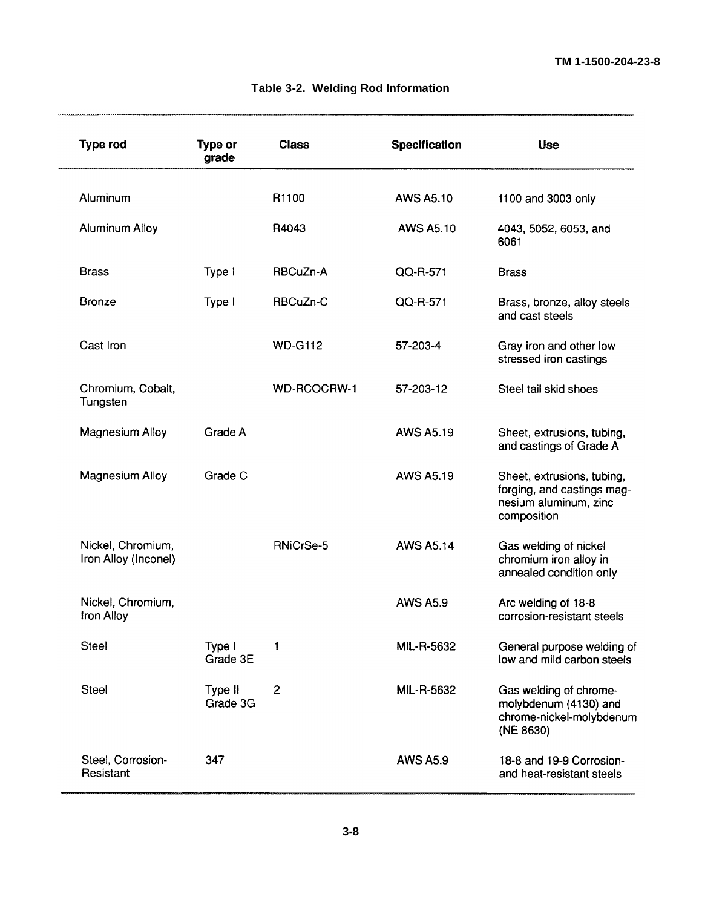<span id="page-28-0"></span>

| <b>Type rod</b>                           | Type or<br>grade    | <b>Class</b>      | Specification    | <b>Use</b>                                                                                       |
|-------------------------------------------|---------------------|-------------------|------------------|--------------------------------------------------------------------------------------------------|
| Aluminum                                  |                     | R <sub>1100</sub> | <b>AWS A5.10</b> | 1100 and 3003 only                                                                               |
| <b>Aluminum Alloy</b>                     |                     | R4043             | <b>AWS A5.10</b> | 4043, 5052, 6053, and<br>6061                                                                    |
| <b>Brass</b>                              | Type I              | RBCuZn-A          | QQ-R-571         | <b>Brass</b>                                                                                     |
| <b>Bronze</b>                             | Type I              | RBCuZn-C          | $QQ- R-571$      | Brass, bronze, alloy steels<br>and cast steels                                                   |
| Cast Iron                                 |                     | <b>WD-G112</b>    | 57-203-4         | Gray iron and other low<br>stressed iron castings                                                |
| Chromium, Cobalt,<br>Tungsten             |                     | WD-RCOCRW-1       | 57-203-12        | Steel tail skid shoes                                                                            |
| Magnesium Alloy                           | Grade A             |                   | <b>AWS A5.19</b> | Sheet, extrusions, tubing,<br>and castings of Grade A                                            |
| <b>Magnesium Alloy</b>                    | Grade C             |                   | <b>AWS A5.19</b> | Sheet, extrusions, tubing,<br>forging, and castings mag-<br>nesium aluminum, zinc<br>composition |
| Nickel, Chromium,<br>Iron Alloy (Inconel) |                     | RNiCrSe-5         | <b>AWS A5.14</b> | Gas welding of nickel<br>chromium iron alloy in<br>annealed condition only                       |
| Nickel, Chromium,<br>Iron Alloy           |                     |                   | <b>AWS A5.9</b>  | Arc welding of 18-8<br>corrosion-resistant steels                                                |
| Steel                                     | Type I<br>Grade 3E  | 1                 | MIL-R-5632       | General purpose welding of<br>low and mild carbon steels                                         |
| <b>Steel</b>                              | Type II<br>Grade 3G | $\overline{c}$    | MIL-R-5632       | Gas welding of chrome-<br>molybdenum (4130) and<br>chrome-nickel-molybdenum<br>(NE 8630)         |
| Steel, Corrosion-<br>Resistant            | 347                 |                   | <b>AWS A5.9</b>  | 18-8 and 19-9 Corrosion-<br>and heat-resistant steels                                            |

#### **Table 3-2. Welding Rod Information**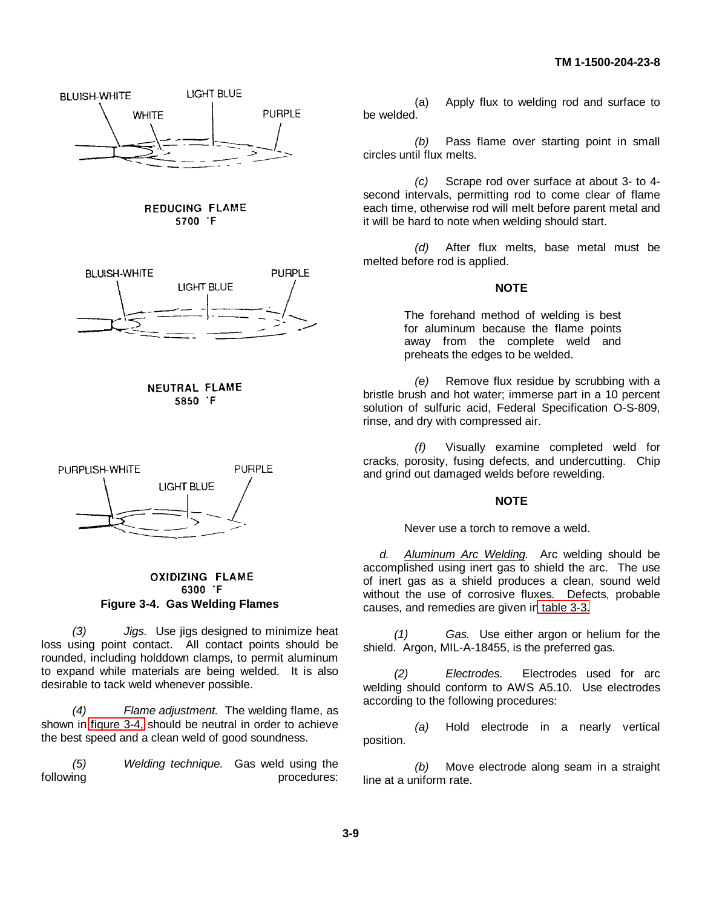<span id="page-29-0"></span>

**REDUCING FLAME** 5700 F



NEUTRAL FLAME 5850 F



#### **OXIDIZING FLAME** 6300 F **Figure 3-4. Gas Welding Flames**

*(3) Jigs.* Use jigs designed to minimize heat loss using point contact. All contact points should be rounded, including holddown clamps, to permit aluminum to expand while materials are being welded. It is also desirable to tack weld whenever possible.

*(4) Flame adjustment.* The welding flame, as shown in figure 3-4, should be neutral in order to achieve the best speed and a clean weld of good soundness.

*(5) Welding technique.* Gas weld using the following **procedures:** 

(a) Apply flux to welding rod and surface to be welded.

*(b)* Pass flame over starting point in small circles until flux melts.

*(c)* Scrape rod over surface at about 3- to 4 second intervals, permitting rod to come clear of flame each time, otherwise rod will melt before parent metal and it will be hard to note when welding should start.

*(d)* After flux melts, base metal must be melted before rod is applied.

#### **NOTE**

The forehand method of welding is best for aluminum because the flame points away from the complete weld and preheats the edges to be welded.

*(e)* Remove flux residue by scrubbing with a bristle brush and hot water; immerse part in a 10 percent solution of sulfuric acid, Federal Specification O-S-809, rinse, and dry with compressed air.

*(f)* Visually examine completed weld for cracks, porosity, fusing defects, and undercutting. Chip and grind out damaged welds before rewelding.

#### **NOTE**

#### Never use a torch to remove a weld.

*d. Aluminum Arc Welding.* Arc welding should be accomplished using inert gas to shield the arc. The use of inert gas as a shield produces a clean, sound weld without the use of corrosive fluxes. Defects, probable causes, and remedies are given i[n table 3-3.](#page-30-0)

*(1) Gas.* Use either argon or helium for the shield. Argon, MIL-A-18455, is the preferred gas.

*(2) Electrodes.* Electrodes used for arc welding should conform to AWS A5.10. Use electrodes according to the following procedures:

*(a)* Hold electrode in a nearly vertical position.

*(b)* Move electrode along seam in a straight line at a uniform rate.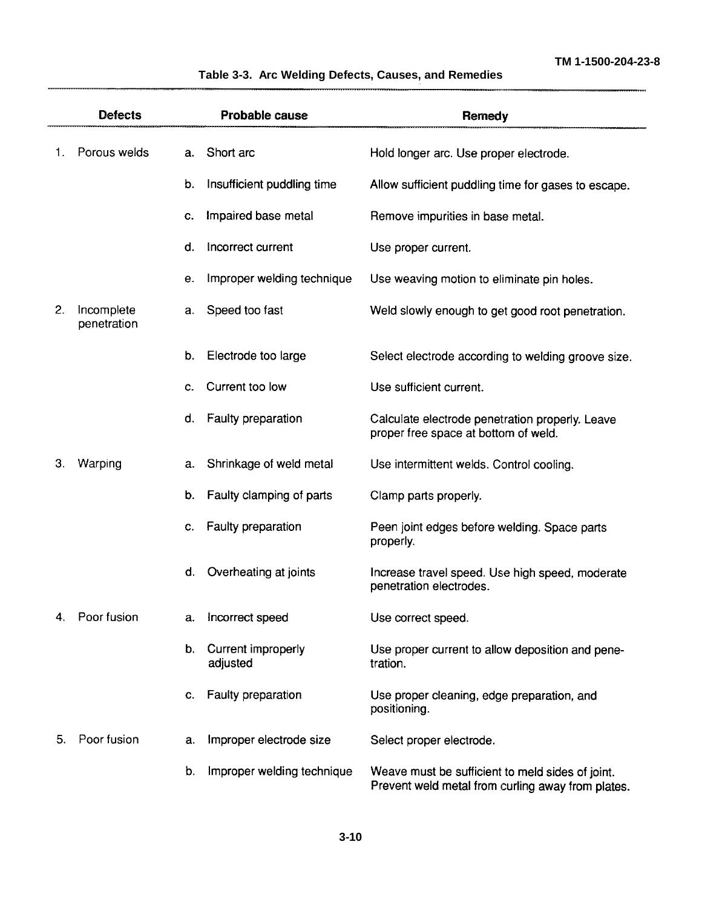----------

<span id="page-30-0"></span>

|    | <b>Defects</b>            |    | <b>Probable cause</b>          | Remedy                                                                                                |
|----|---------------------------|----|--------------------------------|-------------------------------------------------------------------------------------------------------|
| 1. | Porous welds              | a. | Short arc                      | Hold longer arc. Use proper electrode.                                                                |
|    |                           | b. | Insufficient puddling time     | Allow sufficient puddling time for gases to escape.                                                   |
|    |                           | C. | Impaired base metal            | Remove impurities in base metal.                                                                      |
|    |                           | d. | Incorrect current              | Use proper current.                                                                                   |
|    |                           | е. | Improper welding technique     | Use weaving motion to eliminate pin holes.                                                            |
| 2. | Incomplete<br>penetration | a. | Speed too fast                 | Weld slowly enough to get good root penetration.                                                      |
|    |                           | b. | Electrode too large            | Select electrode according to welding groove size.                                                    |
|    |                           | C. | Current too low                | Use sufficient current.                                                                               |
|    |                           | d. | Faulty preparation             | Calculate electrode penetration properly. Leave<br>proper free space at bottom of weld.               |
| З. | Warping                   | a. | Shrinkage of weld metal        | Use intermittent welds. Control cooling.                                                              |
|    |                           | b. | Faulty clamping of parts       | Clamp parts properly.                                                                                 |
|    |                           | С. | Faulty preparation             | Peen joint edges before welding. Space parts<br>properly.                                             |
|    |                           | d. | Overheating at joints          | Increase travel speed. Use high speed, moderate<br>penetration electrodes.                            |
| 4. | Poor fusion               | a. | Incorrect speed                | Use correct speed.                                                                                    |
|    |                           | b. | Current improperly<br>adjusted | Use proper current to allow deposition and pene-<br>tration.                                          |
|    |                           | С. | Faulty preparation             | Use proper cleaning, edge preparation, and<br>positioning.                                            |
| 5. | Poor fusion               | a. | Improper electrode size        | Select proper electrode.                                                                              |
|    |                           | b. | Improper welding technique     | Weave must be sufficient to meld sides of joint.<br>Prevent weld metal from curling away from plates. |

#### **Table 3-3. Arc Welding Defects, Causes, and Remedies**

----------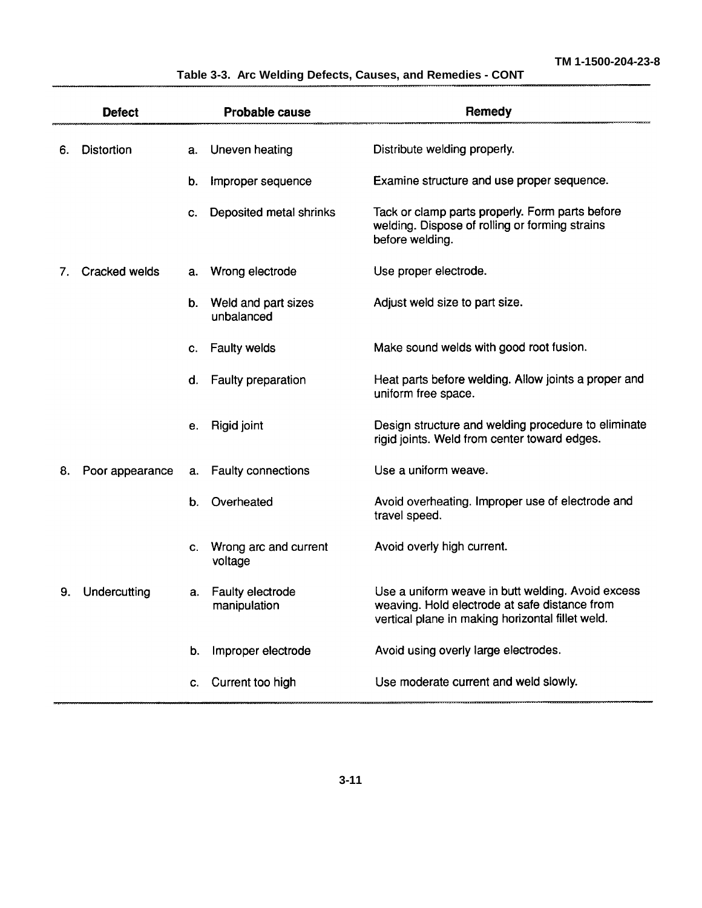<span id="page-31-0"></span>

|    | <b>Defect</b>        |    | <b>Probable cause</b>                   | Remedy                                                                                                                                                 |
|----|----------------------|----|-----------------------------------------|--------------------------------------------------------------------------------------------------------------------------------------------------------|
| 6. | <b>Distortion</b>    | а. | Uneven heating                          | Distribute welding properly.                                                                                                                           |
|    |                      | b. | Improper sequence                       | Examine structure and use proper sequence.                                                                                                             |
|    |                      | c. | Deposited metal shrinks                 | Tack or clamp parts properly. Form parts before<br>welding. Dispose of rolling or forming strains<br>before welding.                                   |
| 7. | <b>Cracked welds</b> | а. | Wrong electrode                         | Use proper electrode.                                                                                                                                  |
|    |                      | b. | Weld and part sizes<br>unbalanced       | Adjust weld size to part size.                                                                                                                         |
|    |                      | С. | <b>Faulty welds</b>                     | Make sound welds with good root fusion.                                                                                                                |
|    |                      | d. | Faulty preparation                      | Heat parts before welding. Allow joints a proper and<br>uniform free space.                                                                            |
|    |                      | е. | Rigid joint                             | Design structure and welding procedure to eliminate<br>rigid joints. Weld from center toward edges.                                                    |
| 8. | Poor appearance      | a. | <b>Faulty connections</b>               | Use a uniform weave.                                                                                                                                   |
|    |                      | b. | Overheated                              | Avoid overheating. Improper use of electrode and<br>travel speed.                                                                                      |
|    |                      | С. | Wrong arc and current<br>voltage        | Avoid overly high current.                                                                                                                             |
| 9. | Undercutting         | a. | <b>Faulty electrode</b><br>manipulation | Use a uniform weave in butt welding. Avoid excess<br>weaving. Hold electrode at safe distance from<br>vertical plane in making horizontal fillet weld. |
|    |                      | b. | Improper electrode                      | Avoid using overly large electrodes.                                                                                                                   |
|    |                      | С. | Current too high                        | Use moderate current and weld slowly.                                                                                                                  |

**Table 3-3. Arc Welding Defects, Causes, and Remedies - CONT**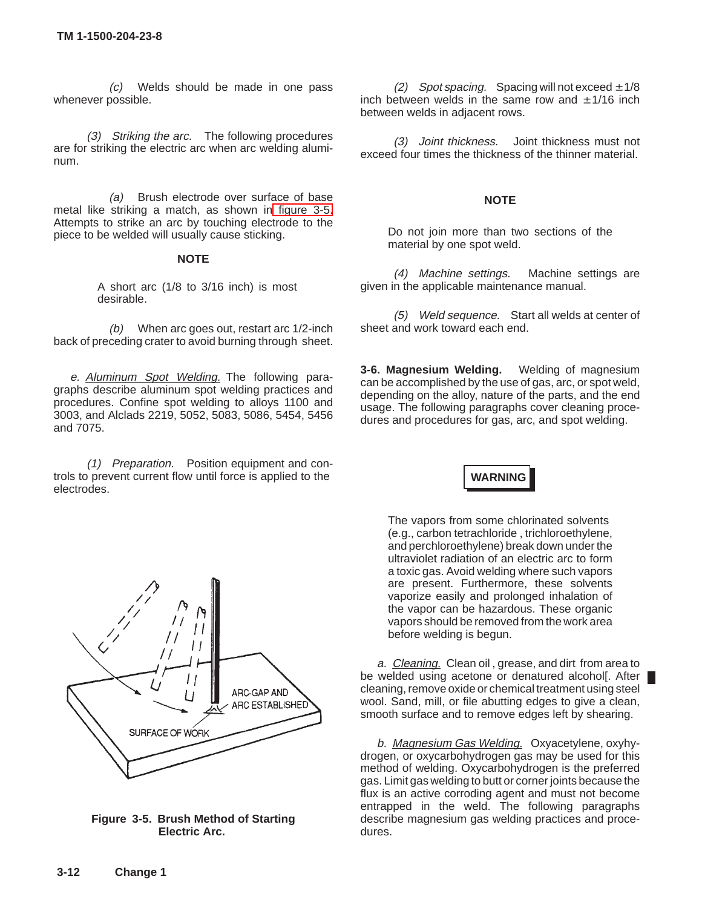(c) Welds should be made in one pass whenever possible.

(3) Striking the arc. The following procedures are for striking the electric arc when arc welding aluminum.

(a) Brush electrode over surface of base metal like striking a match, as shown in figure 3-5. Attempts to strike an arc by touching electrode to the piece to be welded will usually cause sticking.

#### **NOTE**

A short arc (1/8 to 3/16 inch) is most desirable.

(b) When arc goes out, restart arc 1/2-inch back of preceding crater to avoid burning through sheet.

e. Aluminum Spot Welding. The following paragraphs describe aluminum spot welding practices and procedures. Confine spot welding to alloys 1100 and 3003, and Alclads 2219, 5052, 5083, 5086, 5454, 5456 and 7075.

(1) Preparation. Position equipment and controls to prevent current flow until force is applied to the electrodes.



**Figure 3-5. Brush Method of Starting Electric Arc.** 

(2) Spot spacing. Spacing will not exceed  $\pm 1/8$ inch between welds in the same row and  $\pm$ 1/16 inch between welds in adjacent rows.

(3) Joint thickness. Joint thickness must not exceed four times the thickness of the thinner material.

#### **NOTE**

Do not join more than two sections of the material by one spot weld.

(4) Machine settings. Machine settings are given in the applicable maintenance manual.

(5) Weld sequence. Start all welds at center of sheet and work toward each end.

**3-6. Magnesium Welding.** Welding of magnesium can be accomplished by the use of gas, arc, or spot weld, depending on the alloy, nature of the parts, and the end usage. The following paragraphs cover cleaning procedures and procedures for gas, arc, and spot welding.

**WARNING**

The vapors from some chlorinated solvents (e.g., carbon tetrachloride , trichloroethylene, and perchloroethylene) break down under the ultraviolet radiation of an electric arc to form a toxic gas. Avoid welding where such vapors are present. Furthermore, these solvents vaporize easily and prolonged inhalation of the vapor can be hazardous. These organic vapors should be removed from the work area before welding is begun.

a. Cleaning. Clean oil, grease, and dirt from area to be welded using acetone or denatured alcohol[. After cleaning, remove oxide or chemical treatment using steel wool. Sand, mill, or file abutting edges to give a clean, smooth surface and to remove edges left by shearing.

b. Magnesium Gas Welding. Oxyacetylene, oxyhydrogen, or oxycarbohydrogen gas may be used for this method of welding. Oxycarbohydrogen is the preferred gas. Limit gas welding to butt or corner joints because the flux is an active corroding agent and must not become entrapped in the weld. The following paragraphs describe magnesium gas welding practices and procedures.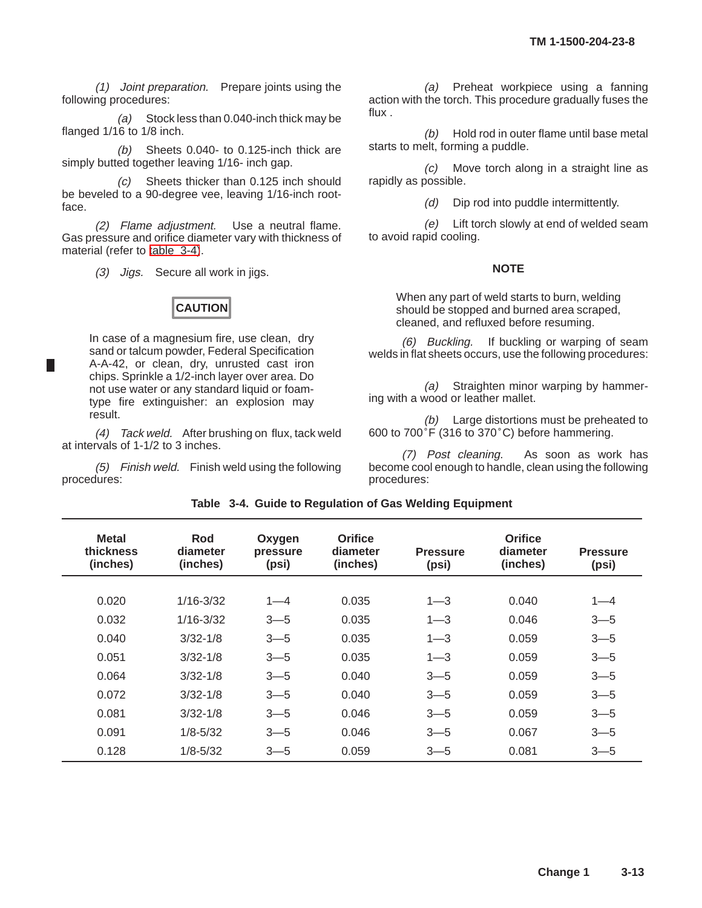(1) Joint preparation. Prepare joints using the following procedures:

(a) Stock less than 0.040-inch thick may be flanged 1/16 to 1/8 inch.

(b) Sheets 0.040- to 0.125-inch thick are simply butted together leaving 1/16- inch gap.

(c) Sheets thicker than 0.125 inch should be beveled to a 90-degree vee, leaving 1/16-inch rootface.

(2) Flame adjustment. Use a neutral flame. Gas pressure and orifice diameter vary with thickness of material (refer to table 3-4).

(3) Jigs. Secure all work in jigs.

## **CAUTION**

In case of a magnesium fire, use clean, dry sand or talcum powder, Federal Specification A-A-42, or clean, dry, unrusted cast iron chips. Sprinkle a 1/2-inch layer over area. Do not use water or any standard liquid or foamtype fire extinguisher: an explosion may result.

(4) Tack weld. After brushing on flux, tack weld at intervals of 1-1/2 to 3 inches.

(5) Finish weld. Finish weld using the following procedures:

(a) Preheat workpiece using a fanning action with the torch. This procedure gradually fuses the flux .

(b) Hold rod in outer flame until base metal starts to melt, forming a puddle.

(c) Move torch along in a straight line as rapidly as possible.

(d) Dip rod into puddle intermittently.

(e) Lift torch slowly at end of welded seam to avoid rapid cooling.

#### **NOTE**

When any part of weld starts to burn, welding should be stopped and burned area scraped, cleaned, and refluxed before resuming.

(6) Buckling. If buckling or warping of seam welds in flat sheets occurs, use the following procedures:

(a) Straighten minor warping by hammering with a wood or leather mallet.

(b) Large distortions must be preheated to 600 to  $700^{\circ}$  F (316 to  $370^{\circ}$ C) before hammering.

(7) Post cleaning. As soon as work has become cool enough to handle, clean using the following procedures:

| Metal<br>thickness<br>(inches) | Rod<br>diameter<br>(inches) | Oxygen<br>pressure<br>(psi) | <b>Orifice</b><br>diameter<br>(inches) | <b>Pressure</b><br>(psi) | Orifice<br>diameter<br>(inches) | <b>Pressure</b><br>(psi) |
|--------------------------------|-----------------------------|-----------------------------|----------------------------------------|--------------------------|---------------------------------|--------------------------|
|                                |                             |                             |                                        |                          |                                 |                          |
| 0.020                          | $1/16 - 3/32$               | $1 - 4$                     | 0.035                                  | $1 - 3$                  | 0.040                           | $1 - 4$                  |
| 0.032                          | $1/16 - 3/32$               | $3 - 5$                     | 0.035                                  | $1 - 3$                  | 0.046                           | $3 - 5$                  |
| 0.040                          | $3/32 - 1/8$                | $3 - 5$                     | 0.035                                  | $1 - 3$                  | 0.059                           | $3 - 5$                  |
| 0.051                          | $3/32 - 1/8$                | $3 - 5$                     | 0.035                                  | $1 - 3$                  | 0.059                           | $3 - 5$                  |
| 0.064                          | $3/32 - 1/8$                | $3 - 5$                     | 0.040                                  | $3 - 5$                  | 0.059                           | $3 - 5$                  |
| 0.072                          | $3/32 - 1/8$                | $3 - 5$                     | 0.040                                  | $3 - 5$                  | 0.059                           | $3 - 5$                  |
| 0.081                          | $3/32 - 1/8$                | $3 - 5$                     | 0.046                                  | $3 - 5$                  | 0.059                           | $3 - 5$                  |
| 0.091                          | $1/8 - 5/32$                | $3 - 5$                     | 0.046                                  | $3 - 5$                  | 0.067                           | $3 - 5$                  |
| 0.128                          | $1/8 - 5/32$                | $3 - 5$                     | 0.059                                  | $3 - 5$                  | 0.081                           | $3 - 5$                  |

#### **Table 3-4. Guide to Regulation of Gas Welding Equipment**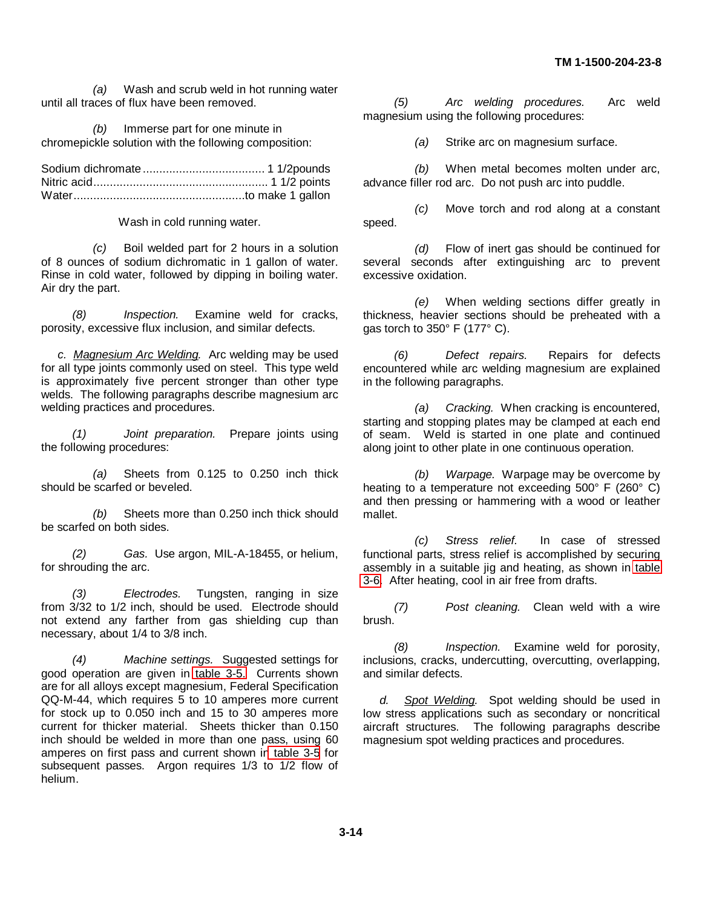*(a)* Wash and scrub weld in hot running water until all traces of flux have been removed.

*(b)* Immerse part for one minute in chromepickle solution with the following composition:

Wash in cold running water.

*(c)* Boil welded part for 2 hours in a solution of 8 ounces of sodium dichromatic in 1 gallon of water. Rinse in cold water, followed by dipping in boiling water. Air dry the part.

*(8) Inspection.* Examine weld for cracks, porosity, excessive flux inclusion, and similar defects.

*c. Magnesium Arc Welding.* Arc welding may be used for all type joints commonly used on steel. This type weld is approximately five percent stronger than other type welds. The following paragraphs describe magnesium arc welding practices and procedures.

*(1) Joint preparation.* Prepare joints using the following procedures:

*(a)* Sheets from 0.125 to 0.250 inch thick should be scarfed or beveled.

*(b)* Sheets more than 0.250 inch thick should be scarfed on both sides.

*(2) Gas.* Use argon, MIL-A-18455, or helium, for shrouding the arc.

*(3) Electrodes.* Tungsten, ranging in size from 3/32 to 1/2 inch, should be used. Electrode should not extend any farther from gas shielding cup than necessary, about 1/4 to 3/8 inch.

*(4) Machine settings.* Suggested settings for good operation are given in [table 3-5.](#page-35-0) Currents shown are for all alloys except magnesium, Federal Specification QQ-M-44, which requires 5 to 10 amperes more current for stock up to 0.050 inch and 15 to 30 amperes more current for thicker material. Sheets thicker than 0.150 inch should be welded in more than one pass, using 60 amperes on first pass and current shown i[n table 3-5](#page-35-0) for subsequent passes. Argon requires 1/3 to 1/2 flow of helium.

*(5) Arc welding procedures.* Arc weld magnesium using the following procedures:

*(a)* Strike arc on magnesium surface.

*(b)* When metal becomes molten under arc, advance filler rod arc. Do not push arc into puddle.

*(c)* Move torch and rod along at a constant speed.

*(d)* Flow of inert gas should be continued for several seconds after extinguishing arc to prevent excessive oxidation.

*(e)* When welding sections differ greatly in thickness, heavier sections should be preheated with a gas torch to 350° F (177° C).

*(6) Defect repairs.* Repairs for defects encountered while arc welding magnesium are explained in the following paragraphs.

*(a) Cracking.* When cracking is encountered, starting and stopping plates may be clamped at each end of seam. Weld is started in one plate and continued along joint to other plate in one continuous operation.

*(b) Warpage.* Warpage may be overcome by heating to a temperature not exceeding 500° F (260° C) and then pressing or hammering with a wood or leather mallet.

*(c) Stress relief.* In case of stressed functional parts, stress relief is accomplished by securing assembly in a suitable jig and heating, as shown in [table](#page-35-0) [3-6.](#page-35-0) After heating, cool in air free from drafts.

*(7) Post cleaning.* Clean weld with a wire brush.

*(8) Inspection.* Examine weld for porosity, inclusions, cracks, undercutting, overcutting, overlapping, and similar defects.

*d. Spot Welding.* Spot welding should be used in low stress applications such as secondary or noncritical aircraft structures. The following paragraphs describe magnesium spot welding practices and procedures.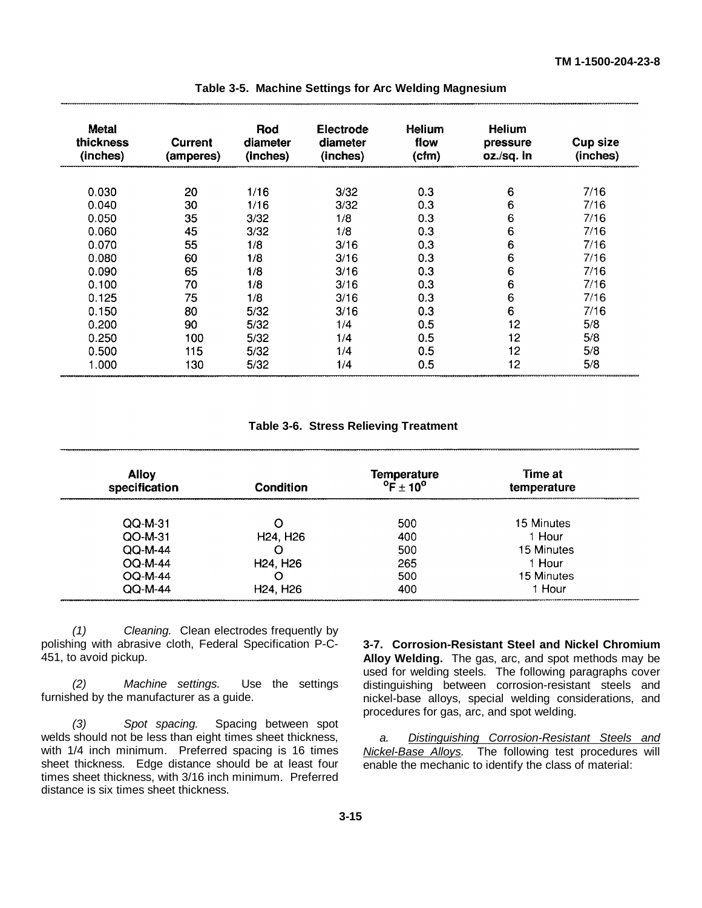<span id="page-35-0"></span>

| <b>Metal</b><br>thickness<br>(inches) | <b>Current</b><br>(amperes) | Rod<br>diameter<br>(inches) | <b>Electrode</b><br>diameter<br>(inches) | <b>Helium</b><br>flow<br>(cfm) | <b>Helium</b><br>pressure<br>oz./sq. in | Cup size<br>(inches) |
|---------------------------------------|-----------------------------|-----------------------------|------------------------------------------|--------------------------------|-----------------------------------------|----------------------|
| 0.030                                 | 20                          | 1/16                        | 3/32                                     | 0.3                            | 6                                       | 7/16                 |
| 0.040                                 | 30                          | 1/16                        | 3/32                                     | 0.3                            | 6                                       | 7/16                 |
| 0.050                                 | 35                          | 3/32                        | 1/8                                      | 0.3                            | 6                                       | 7/16                 |
| 0.060                                 | 45                          | 3/32                        | 1/8                                      | 0.3                            | 6                                       | 7/16                 |
| 0.070                                 | 55                          | 1/8                         | 3/16                                     | 0.3                            | 6                                       | 7/16                 |
| 0.080                                 | 60                          | 1/8                         | 3/16                                     | 0.3                            | 6                                       | 7/16                 |
| 0.090                                 | 65                          | 1/8                         | 3/16                                     | 0.3                            | 6                                       | 7/16                 |
| 0.100                                 | 70                          | 1/8                         | 3/16                                     | 0.3                            | 6                                       | 7/16                 |
| 0.125                                 | 75                          | 1/8                         | 3/16                                     | 0.3                            | 6                                       | 7/16                 |
| 0.150                                 | 80                          | 5/32                        | 3/16                                     | 0.3                            | 6                                       | 7/16                 |
| 0.200                                 | 90                          | 5/32                        | 1/4                                      | 0.5                            | 12                                      | 5/8                  |
| 0.250                                 | 100                         | 5/32                        | 1/4                                      | 0.5                            | 12                                      | 5/8                  |
| 0.500                                 | 115                         | 5/32                        | 1/4                                      | 0.5                            | 12                                      | 5/8                  |
| 1.000                                 | 130                         | 5/32                        | 1/4                                      | 0.5                            | 12                                      | 5/8                  |

**Table 3-5. Machine Settings for Arc Welding Magnesium**

#### **Table 3-6. Stress Relieving Treatment**

| <b>Alloy</b><br>specification | <b>Condition</b>                  | Temperature<br>$^{0}$ F ± 10 <sup>o</sup> | Time at<br>temperature |
|-------------------------------|-----------------------------------|-------------------------------------------|------------------------|
| $QQ-M-31$                     |                                   | 500                                       | 15 Minutes             |
| QO-M-31                       | H <sub>24</sub> , H <sub>26</sub> | 400                                       | 1 Hour                 |
| $QQ-M-44$                     |                                   | 500                                       | 15 Minutes             |
| <b>OQ-M-44</b>                | H <sub>24</sub> , H <sub>26</sub> | 265                                       | 1 Hour                 |
| OQ-M-44                       |                                   | 500                                       | 15 Minutes             |
| QQ-M-44                       | H <sub>24</sub> , H <sub>26</sub> | 400                                       | 1 Hour                 |

*(1) Cleaning.* Clean electrodes frequently by polishing with abrasive cloth, Federal Specification P-C-451, to avoid pickup.

*(2) Machine settings.* Use the settings furnished by the manufacturer as a guide.

*(3) Spot spacing.* Spacing between spot welds should not be less than eight times sheet thickness, with 1/4 inch minimum. Preferred spacing is 16 times sheet thickness. Edge distance should be at least four times sheet thickness, with 3/16 inch minimum. Preferred distance is six times sheet thickness.

**3-7. Corrosion-Resistant Steel and Nickel Chromium Alloy Welding.** The gas, arc, and spot methods may be used for welding steels. The following paragraphs cover distinguishing between corrosion-resistant steels and nickel-base alloys, special welding considerations, and procedures for gas, arc, and spot welding.

*a. Distinguishing Corrosion-Resistant Steels and Nickel-Base Alloys.* The following test procedures will enable the mechanic to identify the class of material: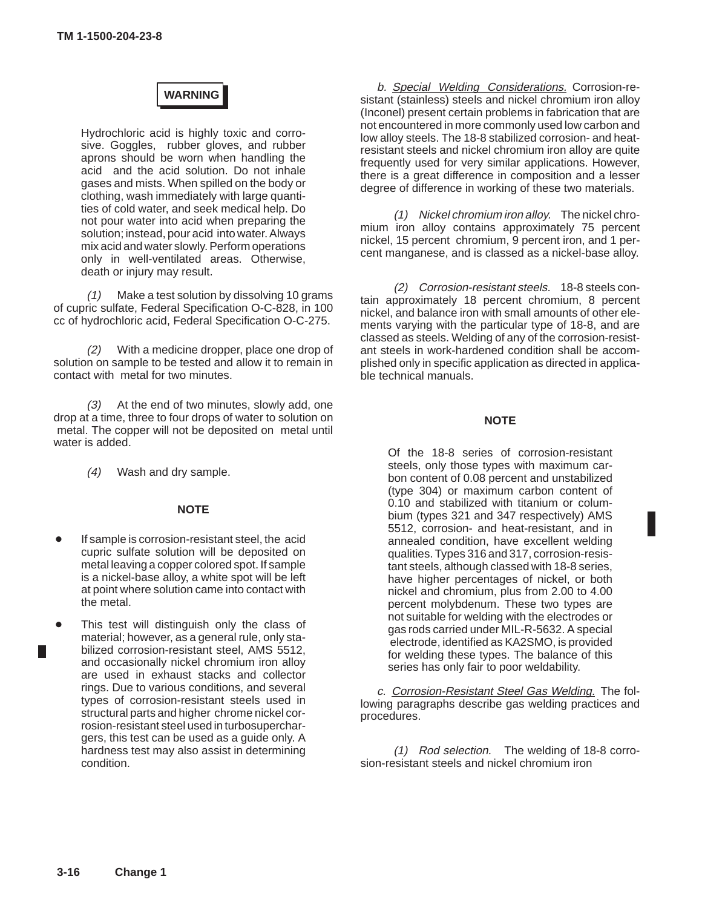## **WARNING**

Hydrochloric acid is highly toxic and corrosive. Goggles, rubber gloves, and rubber aprons should be worn when handling the acid and the acid solution. Do not inhale gases and mists. When spilled on the body or clothing, wash immediately with large quantities of cold water, and seek medical help. Do not pour water into acid when preparing the solution; instead, pour acid into water. Always mix acid and water slowly. Perform operations only in well-ventilated areas. Otherwise, death or injury may result.

(1) Make a test solution by dissolving 10 grams of cupric sulfate, Federal Specification O-C-828, in 100 cc of hydrochloric acid, Federal Specification O-C-275.

(2) With a medicine dropper, place one drop of solution on sample to be tested and allow it to remain in contact with metal for two minutes.

(3) At the end of two minutes, slowly add, one drop at a time, three to four drops of water to solution on metal. The copper will not be deposited on metal until water is added.

(4) Wash and dry sample.

#### **NOTE**

- $\bullet$  If sample is corrosion-resistant steel, the acid cupric sulfate solution will be deposited on metal leaving a copper colored spot. If sample is a nickel-base alloy, a white spot will be left at point where solution came into contact with the metal.
- $\bullet$  This test will distinguish only the class of material; however, as a general rule, only stabilized corrosion-resistant steel, AMS 5512, and occasionally nickel chromium iron alloy are used in exhaust stacks and collector rings. Due to various conditions, and several types of corrosion-resistant steels used in structural parts and higher chrome nickel corrosion-resistant steel used in turbosuperchargers, this test can be used as a guide only. A hardness test may also assist in determining condition.

b. Special Welding Considerations. Corrosion-resistant (stainless) steels and nickel chromium iron alloy (Inconel) present certain problems in fabrication that are not encountered in more commonly used low carbon and low alloy steels. The 18-8 stabilized corrosion- and heatresistant steels and nickel chromium iron alloy are quite frequently used for very similar applications. However, there is a great difference in composition and a lesser degree of difference in working of these two materials.

(1) Nickel chromium iron alloy. The nickel chromium iron alloy contains approximately 75 percent nickel, 15 percent chromium, 9 percent iron, and 1 percent manganese, and is classed as a nickel-base alloy.

(2) Corrosion-resistant steels. 18-8 steels contain approximately 18 percent chromium, 8 percent nickel, and balance iron with small amounts of other elements varying with the particular type of 18-8, and are classed as steels. Welding of any of the corrosion-resistant steels in work-hardened condition shall be accomplished only in specific application as directed in applicable technical manuals.

#### **NOTE**

Of the 18-8 series of corrosion-resistant steels, only those types with maximum carbon content of 0.08 percent and unstabilized (type 304) or maximum carbon content of 0.10 and stabilized with titanium or columbium (types 321 and 347 respectively) AMS 5512, corrosion- and heat-resistant, and in annealed condition, have excellent welding qualities. Types 316 and 317, corrosion-resistant steels, although classed with 18-8 series, have higher percentages of nickel, or both nickel and chromium, plus from 2.00 to 4.00 percent molybdenum. These two types are not suitable for welding with the electrodes or gas rods carried under MIL-R-5632. A special electrode, identified as KA2SMO, is provided for welding these types. The balance of this series has only fair to poor weldability.

c. Corrosion-Resistant Steel Gas Welding. The following paragraphs describe gas welding practices and procedures.

(1) Rod selection. The welding of 18-8 corrosion-resistant steels and nickel chromium iron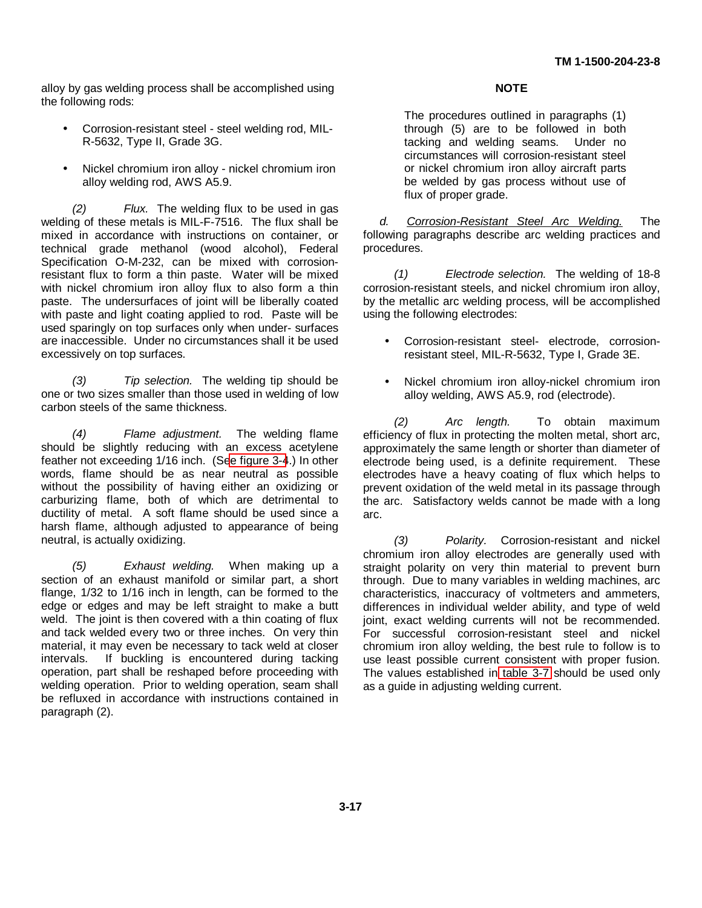alloy by gas welding process shall be accomplished using the following rods:

- Corrosion-resistant steel steel welding rod, MIL-R-5632, Type II, Grade 3G.
- Nickel chromium iron alloy nickel chromium iron alloy welding rod, AWS A5.9.

*(2) Flux.* The welding flux to be used in gas welding of these metals is MIL-F-7516. The flux shall be mixed in accordance with instructions on container, or technical grade methanol (wood alcohol), Federal Specification O-M-232, can be mixed with corrosionresistant flux to form a thin paste. Water will be mixed with nickel chromium iron alloy flux to also form a thin paste. The undersurfaces of joint will be liberally coated with paste and light coating applied to rod. Paste will be used sparingly on top surfaces only when under- surfaces are inaccessible. Under no circumstances shall it be used excessively on top surfaces.

*(3) Tip selection.* The welding tip should be one or two sizes smaller than those used in welding of low carbon steels of the same thickness.

*(4) Flame adjustment.* The welding flame should be slightly reducing with an excess acetylene feather not exceeding 1/16 inch. (S[ee figure 3-4](#page-29-0).) In other words, flame should be as near neutral as possible without the possibility of having either an oxidizing or carburizing flame, both of which are detrimental to ductility of metal. A soft flame should be used since a harsh flame, although adjusted to appearance of being neutral, is actually oxidizing.

*(5) Exhaust welding.* When making up a section of an exhaust manifold or similar part, a short flange, 1/32 to 1/16 inch in length, can be formed to the edge or edges and may be left straight to make a butt weld. The joint is then covered with a thin coating of flux and tack welded every two or three inches. On very thin material, it may even be necessary to tack weld at closer intervals. If buckling is encountered during tacking operation, part shall be reshaped before proceeding with welding operation. Prior to welding operation, seam shall be refluxed in accordance with instructions contained in paragraph (2).

#### **NOTE**

The procedures outlined in paragraphs (1) through (5) are to be followed in both tacking and welding seams. Under no circumstances will corrosion-resistant steel or nickel chromium iron alloy aircraft parts be welded by gas process without use of flux of proper grade.

*d. Corrosion-Resistant Steel Arc Welding.* The following paragraphs describe arc welding practices and procedures.

*(1) Electrode selection.* The welding of 18-8 corrosion-resistant steels, and nickel chromium iron alloy, by the metallic arc welding process, will be accomplished using the following electrodes:

- Corrosion-resistant steel- electrode, corrosionresistant steel, MIL-R-5632, Type I, Grade 3E.
- Nickel chromium iron alloy-nickel chromium iron alloy welding, AWS A5.9, rod (electrode).

*(2) Arc length.* To obtain maximum efficiency of flux in protecting the molten metal, short arc, approximately the same length or shorter than diameter of electrode being used, is a definite requirement. These electrodes have a heavy coating of flux which helps to prevent oxidation of the weld metal in its passage through the arc. Satisfactory welds cannot be made with a long arc.

*(3) Polarity.* Corrosion-resistant and nickel chromium iron alloy electrodes are generally used with straight polarity on very thin material to prevent burn through. Due to many variables in welding machines, arc characteristics, inaccuracy of voltmeters and ammeters, differences in individual welder ability, and type of weld joint, exact welding currents will not be recommended. For successful corrosion-resistant steel and nickel chromium iron alloy welding, the best rule to follow is to use least possible current consistent with proper fusion. The values established in [table 3-7](#page-39-0) should be used only as a guide in adjusting welding current.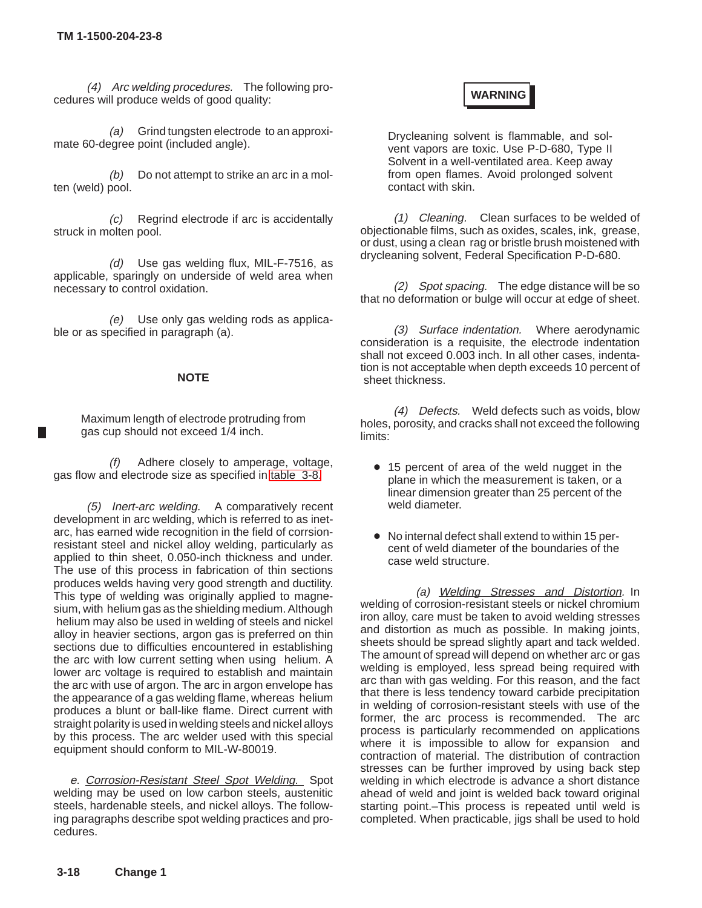(4) Arc welding procedures. The following procedures will produce welds of good quality:

(a) Grind tungsten electrode to an approximate 60-degree point (included angle).

(b) Do not attempt to strike an arc in a molten (weld) pool.

(c) Regrind electrode if arc is accidentally struck in molten pool.

(d) Use gas welding flux, MIL-F-7516, as applicable, sparingly on underside of weld area when necessary to control oxidation.

(e) Use only gas welding rods as applicable or as specified in paragraph (a).

#### **NOTE**

Maximum length of electrode protruding from gas cup should not exceed 1/4 inch.

(f) Adhere closely to amperage, voltage, gas flow and electrode size as specified in [table 3-8.](#page-39-0)

(5) Inert-arc welding. A comparatively recent development in arc welding, which is referred to as inetarc, has earned wide recognition in the field of corrsionresistant steel and nickel alloy welding, particularly as applied to thin sheet, 0.050-inch thickness and under. The use of this process in fabrication of thin sections produces welds having very good strength and ductility. This type of welding was originally applied to magnesium, with helium gas as the shielding medium. Although helium may also be used in welding of steels and nickel alloy in heavier sections, argon gas is preferred on thin sections due to difficulties encountered in establishing the arc with low current setting when using helium. A lower arc voltage is required to establish and maintain the arc with use of argon. The arc in argon envelope has the appearance of a gas welding flame, whereas helium produces a blunt or ball-like flame. Direct current with straight polarity is used in welding steels and nickel alloys by this process. The arc welder used with this special equipment should conform to MIL-W-80019.

e. Corrosion-Resistant Steel Spot Welding. Spot welding may be used on low carbon steels, austenitic steels, hardenable steels, and nickel alloys. The following paragraphs describe spot welding practices and procedures.

#### **WARNING**

Drycleaning solvent is flammable, and solvent vapors are toxic. Use P-D-680, Type II Solvent in a well-ventilated area. Keep away from open flames. Avoid prolonged solvent contact with skin.

(1) Cleaning. Clean surfaces to be welded of objectionable films, such as oxides, scales, ink, grease, or dust, using a clean rag or bristle brush moistened with drycleaning solvent, Federal Specification P-D-680.

(2) Spot spacing. The edge distance will be so that no deformation or bulge will occur at edge of sheet.

(3) Surface indentation. Where aerodynamic consideration is a requisite, the electrode indentation shall not exceed 0.003 inch. In all other cases, indentation is not acceptable when depth exceeds 10 percent of sheet thickness.

(4) Defects. Weld defects such as voids, blow holes, porosity, and cracks shall not exceed the following limits:

- 15 percent of area of the weld nugget in the plane in which the measurement is taken, or a linear dimension greater than 25 percent of the weld diameter.
- No internal defect shall extend to within 15 percent of weld diameter of the boundaries of the case weld structure.

(a) Welding Stresses and Distortion. In welding of corrosion-resistant steels or nickel chromium iron alloy, care must be taken to avoid welding stresses and distortion as much as possible. In making joints, sheets should be spread slightly apart and tack welded. The amount of spread will depend on whether arc or gas welding is employed, less spread being required with arc than with gas welding. For this reason, and the fact that there is less tendency toward carbide precipitation in welding of corrosion-resistant steels with use of the former, the arc process is recommended. The arc process is particularly recommended on applications where it is impossible to allow for expansion and contraction of material. The distribution of contraction stresses can be further improved by using back step welding in which electrode is advance a short distance ahead of weld and joint is welded back toward original starting point.–This process is repeated until weld is completed. When practicable, jigs shall be used to hold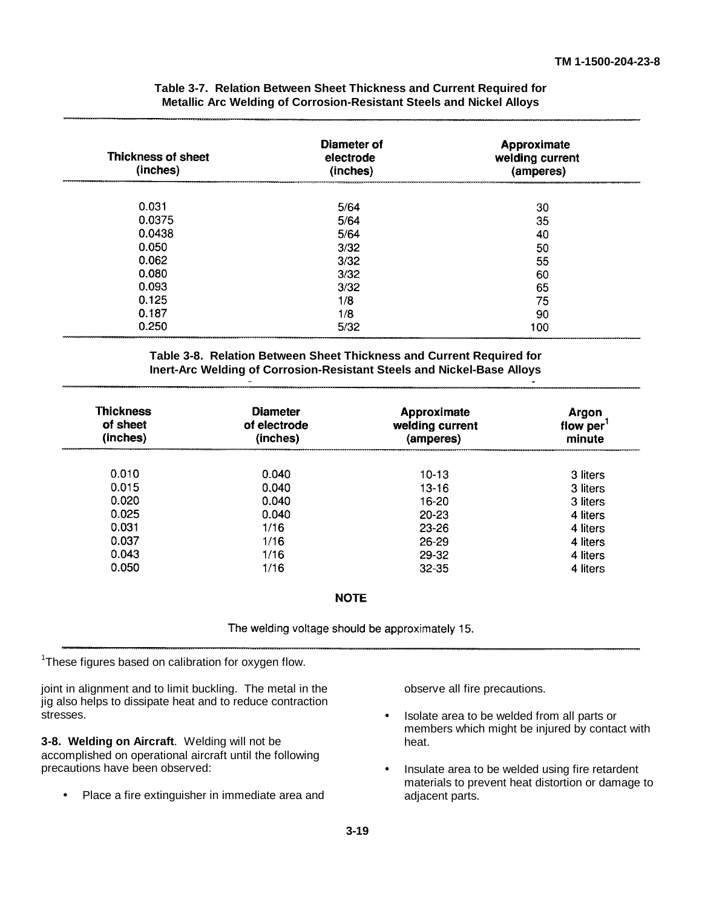<span id="page-39-0"></span>

| <b>Thickness of sheet</b><br>(inches) | Diameter of<br>electrode<br>(inches) | Approximate<br>welding current<br>(amperes) |
|---------------------------------------|--------------------------------------|---------------------------------------------|
| 0.031                                 | 5/64                                 | 30                                          |
| 0.0375                                | 5/64                                 | 35                                          |
| 0.0438                                | 5/64                                 | 40                                          |
| 0.050                                 | 3/32                                 | 50                                          |
| 0.062                                 | 3/32                                 | 55                                          |
| 0.080                                 | 3/32                                 | 60                                          |
| 0.093                                 | 3/32                                 | 65                                          |
| 0.125                                 | 1/8                                  | 75                                          |
| 0.187                                 | 1/8                                  | 90                                          |
| 0.250                                 | 5/32                                 | 100                                         |

#### **Table 3-7. Relation Between Sheet Thickness and Current Required for Metallic Arc Welding of Corrosion-Resistant Steels and Nickel Alloys**

**Table 3-8. Relation Between Sheet Thickness and Current Required for Inert-Arc Welding of Corrosion-Resistant Steels and Nickel-Base Alloys**

| <b>Thickness</b><br>of sheet<br>(inches) | <b>Diameter</b><br>of electrode<br>(inches) | Approximate<br>welding current<br>(amperes) | Argon<br>flow per<br>minute |
|------------------------------------------|---------------------------------------------|---------------------------------------------|-----------------------------|
| 0.010                                    | 0.040                                       | $10 - 13$                                   | 3 liters                    |
| 0.015                                    | 0.040                                       | $13 - 16$                                   | 3 liters                    |
| 0.020                                    | 0.040                                       | $16-20$                                     | 3 liters                    |
| 0.025                                    | 0.040                                       | $20 - 23$                                   | 4 liters                    |
| 0.031                                    | 1/16                                        | 23-26                                       | 4 liters                    |
| 0.037                                    | 1/16                                        | $26 - 29$                                   | 4 liters                    |
| 0.043                                    | 1/16                                        | 29-32                                       | 4 liters                    |
| 0.050                                    | 1/16                                        | $32 - 35$                                   | 4 liters                    |

#### **NOTE**

The welding voltage should be approximately 15.

<sup>1</sup>These figures based on calibration for oxygen flow.

joint in alignment and to limit buckling. The metal in the jig also helps to dissipate heat and to reduce contraction stresses.

**3-8. Welding on Aircraft**. Welding will not be accomplished on operational aircraft until the following precautions have been observed:

Place a fire extinguisher in immediate area and

observe all fire precautions.

- Isolate area to be welded from all parts or members which might be injured by contact with heat.
- Insulate area to be welded using fire retardent materials to prevent heat distortion or damage to adjacent parts.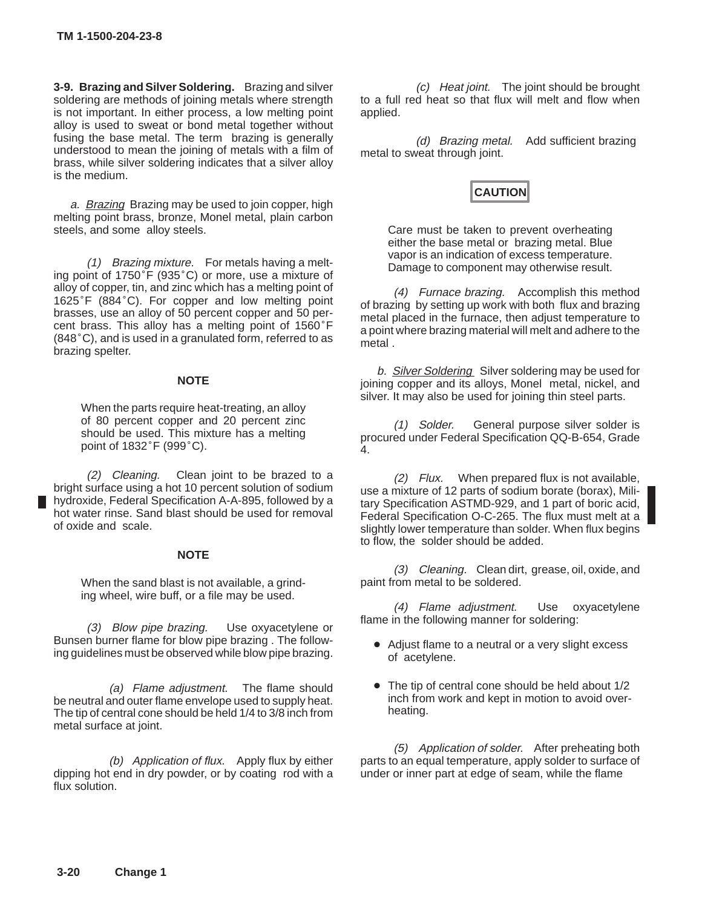<span id="page-40-0"></span>**3-9. Brazing and Silver Soldering.** Brazing and silver soldering are methods of joining metals where strength is not important. In either process, a low melting point alloy is used to sweat or bond metal together without fusing the base metal. The term brazing is generally understood to mean the joining of metals with a film of brass, while silver soldering indicates that a silver alloy is the medium.

a. Brazing Brazing may be used to join copper, high melting point brass, bronze, Monel metal, plain carbon steels, and some alloy steels.

(1) Brazing mixture. For metals having a melting point of 1750°F (935°C) or more, use a mixture of alloy of copper, tin, and zinc which has a melting point of  $1625^{\circ}F$  (884 $^{\circ}C$ ). For copper and low melting point brasses, use an alloy of 50 percent copper and 50 percent brass. This alloy has a melting point of 1560°F  $(848<sup>°</sup>C)$ , and is used in a granulated form, referred to as brazing spelter.

#### **NOTE**

When the parts require heat-treating, an alloy of 80 percent copper and 20 percent zinc should be used. This mixture has a melting point of 1832°F (999°C).

(2) Cleaning. Clean joint to be brazed to a bright surface using a hot 10 percent solution of sodium hydroxide, Federal Specification A-A-895, followed by a hot water rinse. Sand blast should be used for removal of oxide and scale.

#### **NOTE**

When the sand blast is not available, a grinding wheel, wire buff, or a file may be used.

(3) Blow pipe brazing. Use oxyacetylene or Bunsen burner flame for blow pipe brazing . The following guidelines must be observed while blow pipe brazing.

(a) Flame adjustment. The flame should be neutral and outer flame envelope used to supply heat. The tip of central cone should be held 1/4 to 3/8 inch from metal surface at joint.

(b) Application of flux. Apply flux by either dipping hot end in dry powder, or by coating rod with a flux solution.

(c) Heat joint. The joint should be brought to a full red heat so that flux will melt and flow when applied.

(d) Brazing metal. Add sufficient brazing metal to sweat through joint.

#### **CAUTION**

Care must be taken to prevent overheating either the base metal or brazing metal. Blue vapor is an indication of excess temperature. Damage to component may otherwise result.

(4) Furnace brazing. Accomplish this method of brazing by setting up work with both flux and brazing metal placed in the furnace, then adjust temperature to a point where brazing material will melt and adhere to the metal .

b. Silver Soldering Silver soldering may be used for joining copper and its alloys, Monel metal, nickel, and silver. It may also be used for joining thin steel parts.

(1) Solder. General purpose silver solder is procured under Federal Specification QQ-B-654, Grade 4.

(2) Flux. When prepared flux is not available, use a mixture of 12 parts of sodium borate (borax), Military Specification ASTMD-929, and 1 part of boric acid, Federal Specification O-C-265. The flux must melt at a slightly lower temperature than solder. When flux begins to flow, the solder should be added.

(3) Cleaning. Clean dirt, grease, oil, oxide, and paint from metal to be soldered.

(4) Flame adjustment. Use oxyacetylene flame in the following manner for soldering:

- Adjust flame to a neutral or a very slight excess of acetylene.
- The tip of central cone should be held about 1/2 inch from work and kept in motion to avoid overheating.

(5) Application of solder. After preheating both parts to an equal temperature, apply solder to surface of under or inner part at edge of seam, while the flame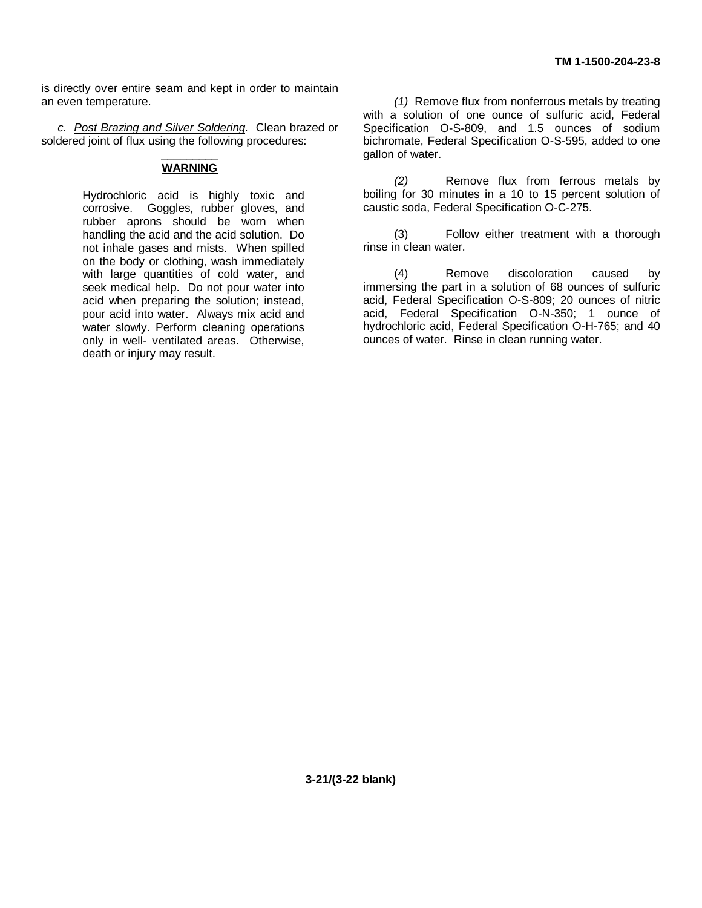is directly over entire seam and kept in order to maintain an even temperature.

*c. Post Brazing and Silver Soldering.* Clean brazed or soldered joint of flux using the following procedures:

#### $\overline{\phantom{a}}$ **WARNING**

Hydrochloric acid is highly toxic and corrosive. Goggles, rubber gloves, and rubber aprons should be worn when handling the acid and the acid solution. Do not inhale gases and mists. When spilled on the body or clothing, wash immediately with large quantities of cold water, and seek medical help. Do not pour water into acid when preparing the solution; instead, pour acid into water. Always mix acid and water slowly. Perform cleaning operations only in well- ventilated areas. Otherwise, death or injury may result.

*(1)* Remove flux from nonferrous metals by treating with a solution of one ounce of sulfuric acid, Federal Specification O-S-809, and 1.5 ounces of sodium bichromate, Federal Specification O-S-595, added to one gallon of water.

*(2)* Remove flux from ferrous metals by boiling for 30 minutes in a 10 to 15 percent solution of caustic soda, Federal Specification O-C-275.

(3) Follow either treatment with a thorough rinse in clean water.

(4) Remove discoloration caused by immersing the part in a solution of 68 ounces of sulfuric acid, Federal Specification O-S-809; 20 ounces of nitric acid, Federal Specification O-N-350; 1 ounce of hydrochloric acid, Federal Specification O-H-765; and 40 ounces of water. Rinse in clean running water.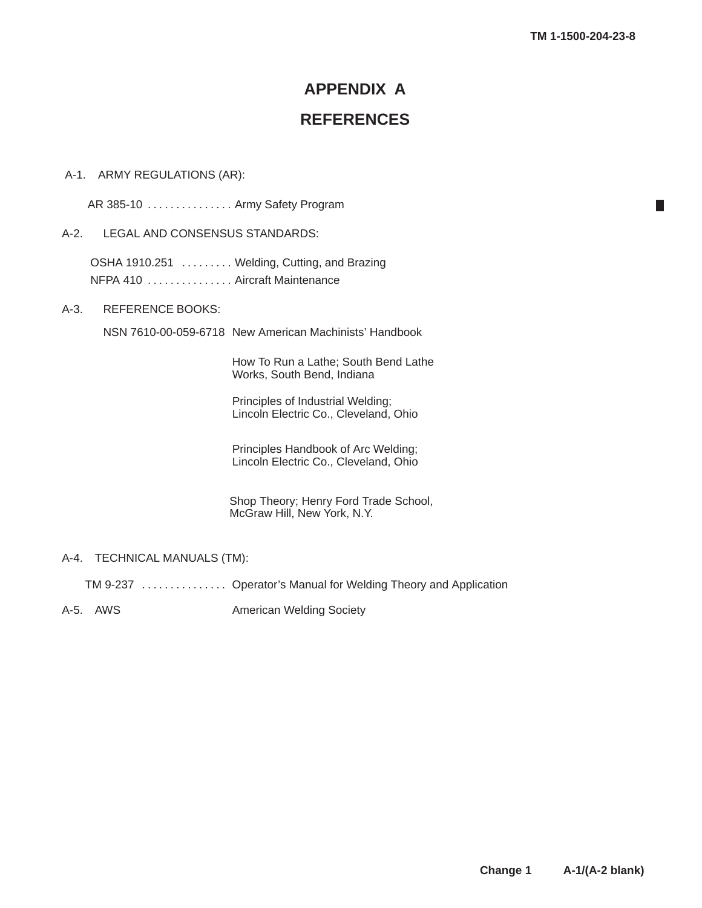## **APPENDIX A**

### **REFERENCES**

#### <span id="page-42-0"></span>A-1. ARMY REGULATIONS (AR):

AR 385-10 . . . . . . . . . . . . . . . Army Safety Program

#### A-2. LEGAL AND CONSENSUS STANDARDS:

OSHA 1910.251 . . . . . . . . . Welding, Cutting, and Brazing NFPA 410 . . . . . . . . . . . . . . . Aircraft Maintenance

#### A-3. REFERENCE BOOKS:

NSN 7610-00-059-6718 New American Machinists' Handbook

How To Run a Lathe; South Bend Lathe Works, South Bend, Indiana

Principles of Industrial Welding; Lincoln Electric Co., Cleveland, Ohio

Principles Handbook of Arc Welding; Lincoln Electric Co., Cleveland, Ohio

Shop Theory; Henry Ford Trade School, McGraw Hill, New York, N.Y.

#### A-4. TECHNICAL MANUALS (TM):

TM 9-237 . . . . . . . . . . . . . . . Operator's Manual for Welding Theory and Application

A-5. AWS American Welding Society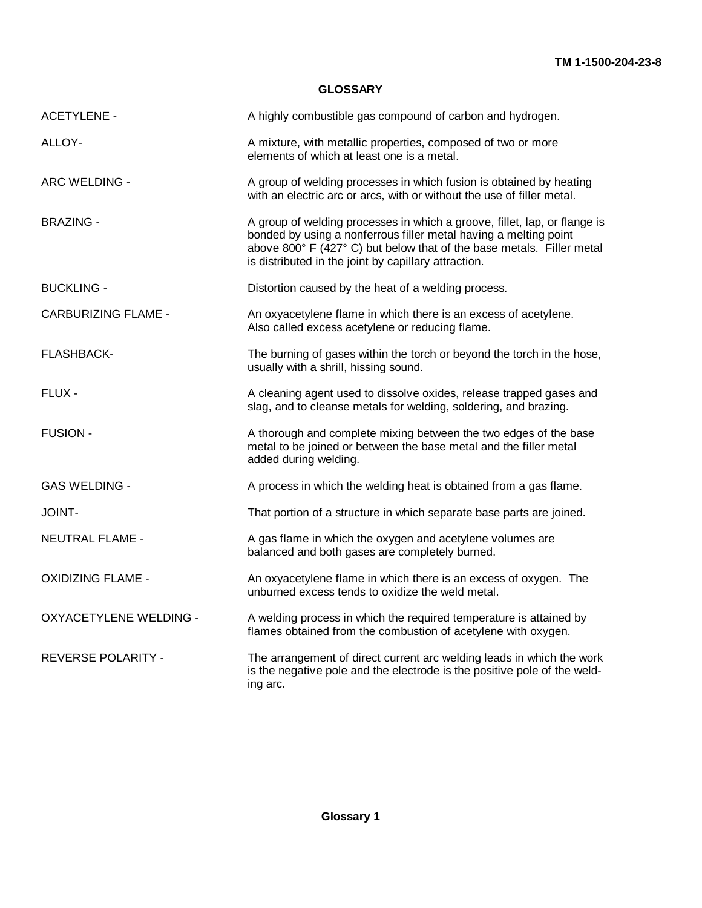#### **GLOSSARY**

<span id="page-43-0"></span>

| <b>ACETYLENE -</b>            | A highly combustible gas compound of carbon and hydrogen.                                                                                                                                                                                                                      |
|-------------------------------|--------------------------------------------------------------------------------------------------------------------------------------------------------------------------------------------------------------------------------------------------------------------------------|
| ALLOY-                        | A mixture, with metallic properties, composed of two or more<br>elements of which at least one is a metal.                                                                                                                                                                     |
| ARC WELDING -                 | A group of welding processes in which fusion is obtained by heating<br>with an electric arc or arcs, with or without the use of filler metal.                                                                                                                                  |
| <b>BRAZING -</b>              | A group of welding processes in which a groove, fillet, lap, or flange is<br>bonded by using a nonferrous filler metal having a melting point<br>above 800° F (427° C) but below that of the base metals. Filler metal<br>is distributed in the joint by capillary attraction. |
| <b>BUCKLING -</b>             | Distortion caused by the heat of a welding process.                                                                                                                                                                                                                            |
| CARBURIZING FLAME -           | An oxyacetylene flame in which there is an excess of acetylene.<br>Also called excess acetylene or reducing flame.                                                                                                                                                             |
| <b>FLASHBACK-</b>             | The burning of gases within the torch or beyond the torch in the hose,<br>usually with a shrill, hissing sound.                                                                                                                                                                |
| FLUX -                        | A cleaning agent used to dissolve oxides, release trapped gases and<br>slag, and to cleanse metals for welding, soldering, and brazing.                                                                                                                                        |
| <b>FUSION -</b>               | A thorough and complete mixing between the two edges of the base<br>metal to be joined or between the base metal and the filler metal<br>added during welding.                                                                                                                 |
| <b>GAS WELDING -</b>          | A process in which the welding heat is obtained from a gas flame.                                                                                                                                                                                                              |
| <b>JOINT-</b>                 | That portion of a structure in which separate base parts are joined.                                                                                                                                                                                                           |
| NEUTRAL FLAME -               | A gas flame in which the oxygen and acetylene volumes are<br>balanced and both gases are completely burned.                                                                                                                                                                    |
| <b>OXIDIZING FLAME -</b>      | An oxyacetylene flame in which there is an excess of oxygen. The<br>unburned excess tends to oxidize the weld metal.                                                                                                                                                           |
| <b>OXYACETYLENE WELDING -</b> | A welding process in which the required temperature is attained by<br>flames obtained from the combustion of acetylene with oxygen.                                                                                                                                            |
| <b>REVERSE POLARITY -</b>     | The arrangement of direct current arc welding leads in which the work<br>is the negative pole and the electrode is the positive pole of the weld-<br>ing arc.                                                                                                                  |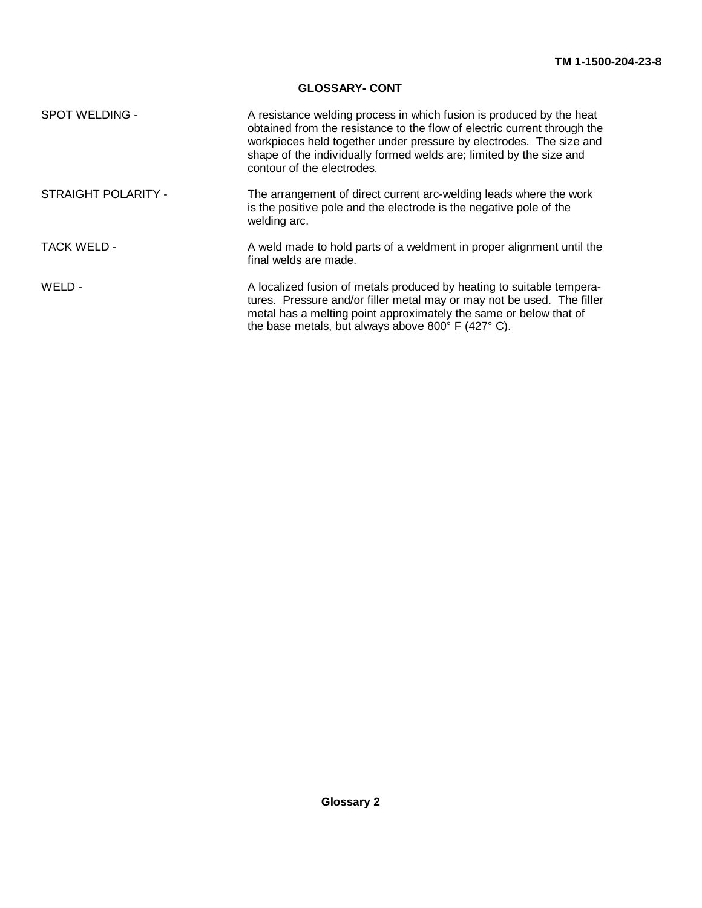#### **GLOSSARY- CONT**

| <b>SPOT WELDING -</b> | A resistance welding process in which fusion is produced by the heat<br>obtained from the resistance to the flow of electric current through the<br>workpieces held together under pressure by electrodes. The size and<br>shape of the individually formed welds are; limited by the size and<br>contour of the electrodes. |
|-----------------------|------------------------------------------------------------------------------------------------------------------------------------------------------------------------------------------------------------------------------------------------------------------------------------------------------------------------------|
| STRAIGHT POLARITY -   | The arrangement of direct current arc-welding leads where the work<br>is the positive pole and the electrode is the negative pole of the<br>welding arc.                                                                                                                                                                     |
| <b>TACK WELD -</b>    | A weld made to hold parts of a weldment in proper alignment until the<br>final welds are made.                                                                                                                                                                                                                               |
| WELD-                 | A localized fusion of metals produced by heating to suitable tempera-<br>tures. Pressure and/or filler metal may or may not be used. The filler<br>metal has a melting point approximately the same or below that of<br>the base metals, but always above 800° F (427° C).                                                   |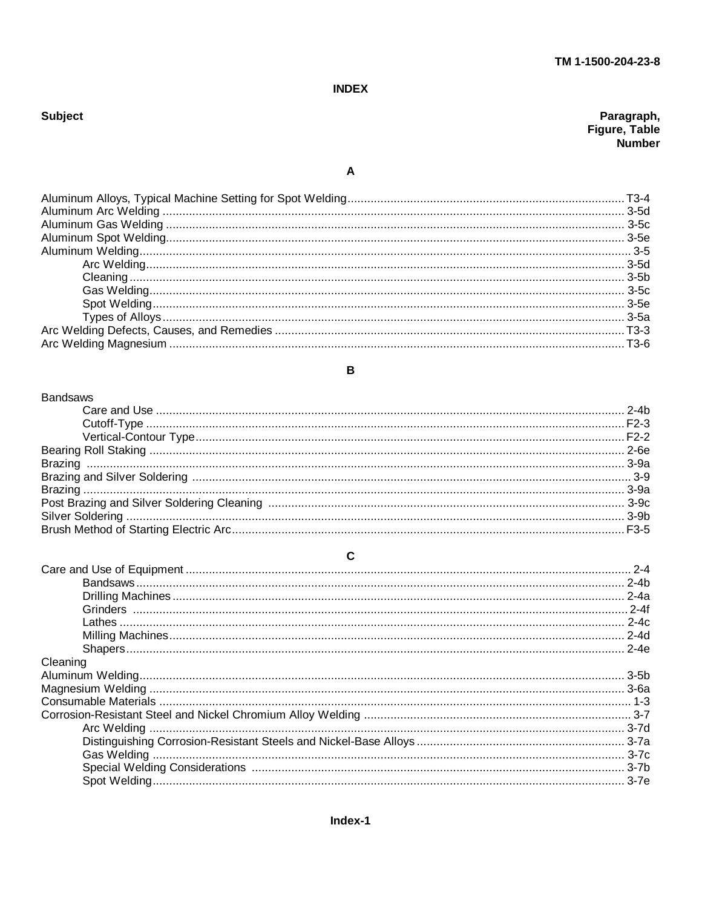#### **INDEX**

<span id="page-45-0"></span>Subject

#### $\mathbf{A}$

#### $\overline{\mathbf{B}}$

#### **Bandsaws**

#### $\mathbf c$

| Cleaning |  |
|----------|--|
|          |  |
|          |  |
|          |  |
|          |  |
|          |  |
|          |  |
|          |  |
|          |  |
|          |  |
|          |  |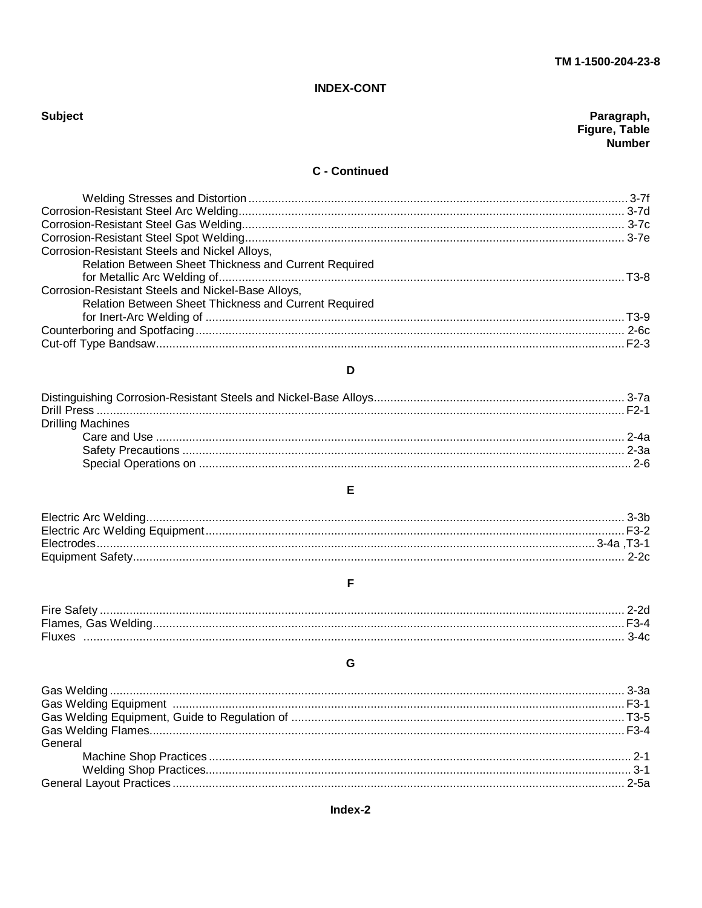#### **INDEX-CONT**

# Paragraph,<br>Figure, Table<br>Number

#### **C** - Continued

| Corrosion-Resistant Steels and Nickel Alloys,         |  |
|-------------------------------------------------------|--|
| Relation Between Sheet Thickness and Current Required |  |
|                                                       |  |
| Corrosion-Resistant Steels and Nickel-Base Alloys,    |  |
| Relation Between Sheet Thickness and Current Required |  |
|                                                       |  |
|                                                       |  |
|                                                       |  |

### D

| <b>Drilling Machines</b> |  |
|--------------------------|--|
|                          |  |
|                          |  |
|                          |  |
|                          |  |

## $\mathsf E$

#### $\bar{\mathsf{F}}$

| <b>Fluxes</b> |  |
|---------------|--|

#### G

| General |  |
|---------|--|
|         |  |
|         |  |
|         |  |

#### Index-2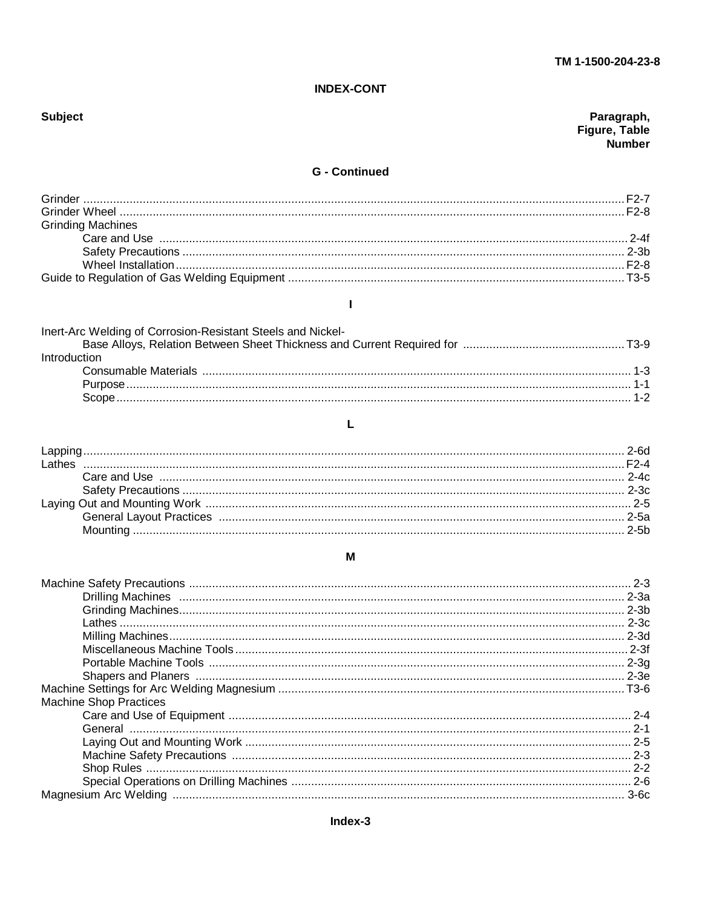#### **INDEX-CONT**

## Paragraph,<br>Figure, Table<br>Number Subject

#### **G** - Continued

| Grinder                  |  |
|--------------------------|--|
|                          |  |
| <b>Grinding Machines</b> |  |
|                          |  |
|                          |  |
|                          |  |
|                          |  |

#### $\mathbf{I}$

| Inert-Arc Welding of Corrosion-Resistant Steels and Nickel- |  |
|-------------------------------------------------------------|--|
|                                                             |  |
| Introduction                                                |  |
|                                                             |  |
|                                                             |  |
|                                                             |  |

#### $\bar{\mathbf{L}}$

#### $\mathbf M$

| <b>Machine Shop Practices</b> |  |
|-------------------------------|--|
|                               |  |
|                               |  |
|                               |  |
|                               |  |
|                               |  |
|                               |  |
|                               |  |

Index-3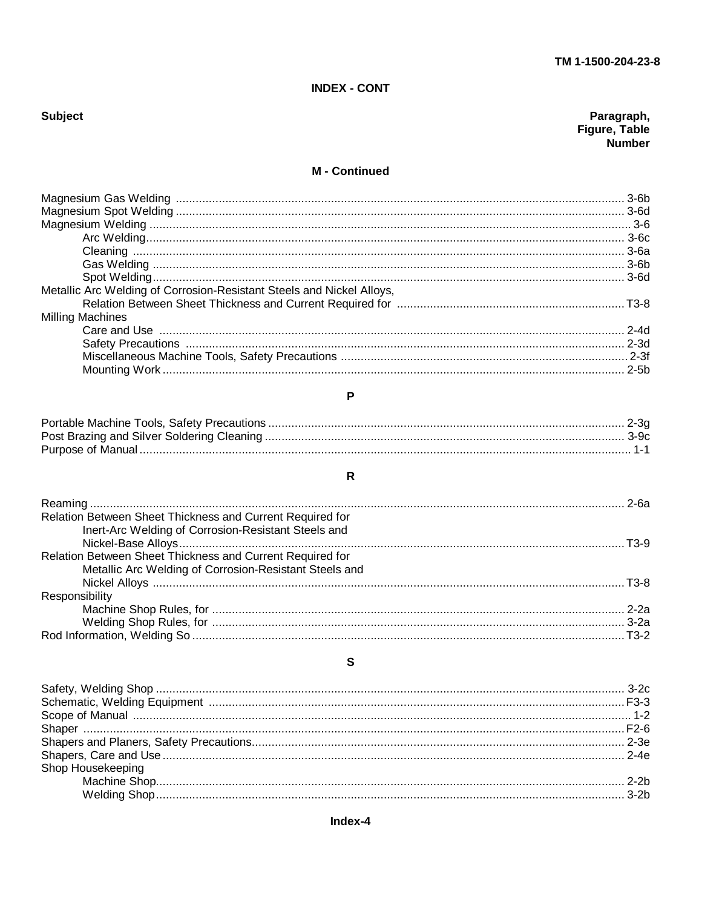#### **INDEX - CONT**

## Subject

# Paragraph,<br>Figure, Table<br>Number

#### **M** - Continued

| Metallic Arc Welding of Corrosion-Resistant Steels and Nickel Alloys, |  |
|-----------------------------------------------------------------------|--|
|                                                                       |  |
| Milling Machines                                                      |  |
|                                                                       |  |
|                                                                       |  |
|                                                                       |  |
|                                                                       |  |
|                                                                       |  |

### $\mathsf{P}$

#### ${\sf R}$

| Relation Between Sheet Thickness and Current Required for |  |
|-----------------------------------------------------------|--|
| Inert-Arc Welding of Corrosion-Resistant Steels and       |  |
|                                                           |  |
| Relation Between Sheet Thickness and Current Required for |  |
| Metallic Arc Welding of Corrosion-Resistant Steels and    |  |
|                                                           |  |
| Responsibility                                            |  |
|                                                           |  |
|                                                           |  |
|                                                           |  |

#### ${\mathbf S}$

#### Index-4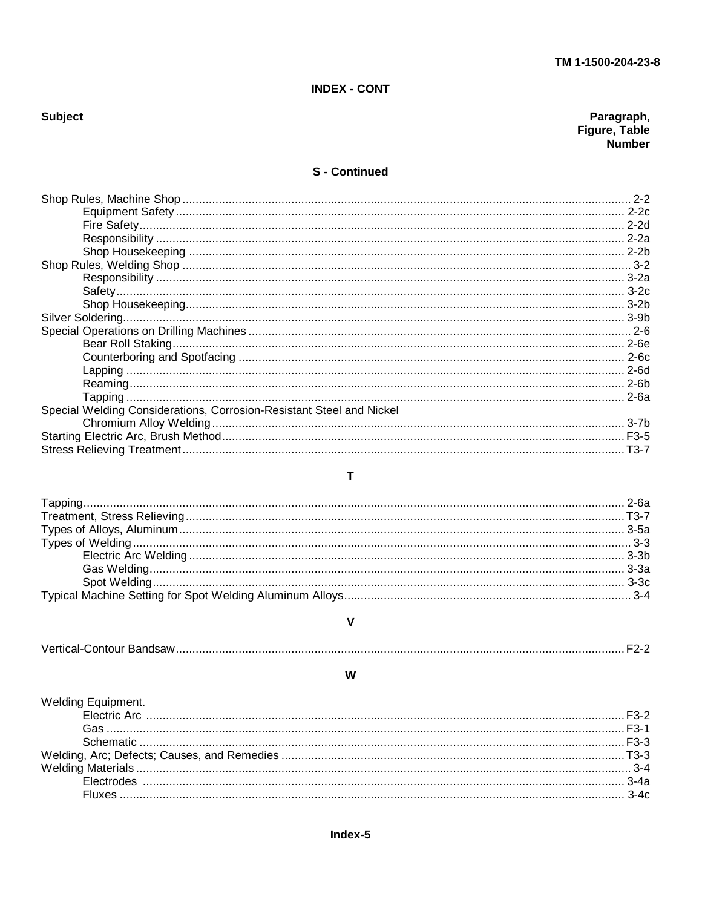#### **S** - Continued

|                                                                      | $2 - 2$ |
|----------------------------------------------------------------------|---------|
|                                                                      | $2-2c$  |
|                                                                      |         |
|                                                                      |         |
|                                                                      |         |
|                                                                      |         |
|                                                                      |         |
|                                                                      |         |
|                                                                      |         |
|                                                                      |         |
|                                                                      |         |
|                                                                      |         |
|                                                                      |         |
|                                                                      |         |
|                                                                      |         |
|                                                                      |         |
| Special Welding Considerations, Corrosion-Resistant Steel and Nickel |         |
|                                                                      |         |
|                                                                      |         |
|                                                                      |         |

#### $\mathbf T$

#### $\mathsf{V}$

## 

W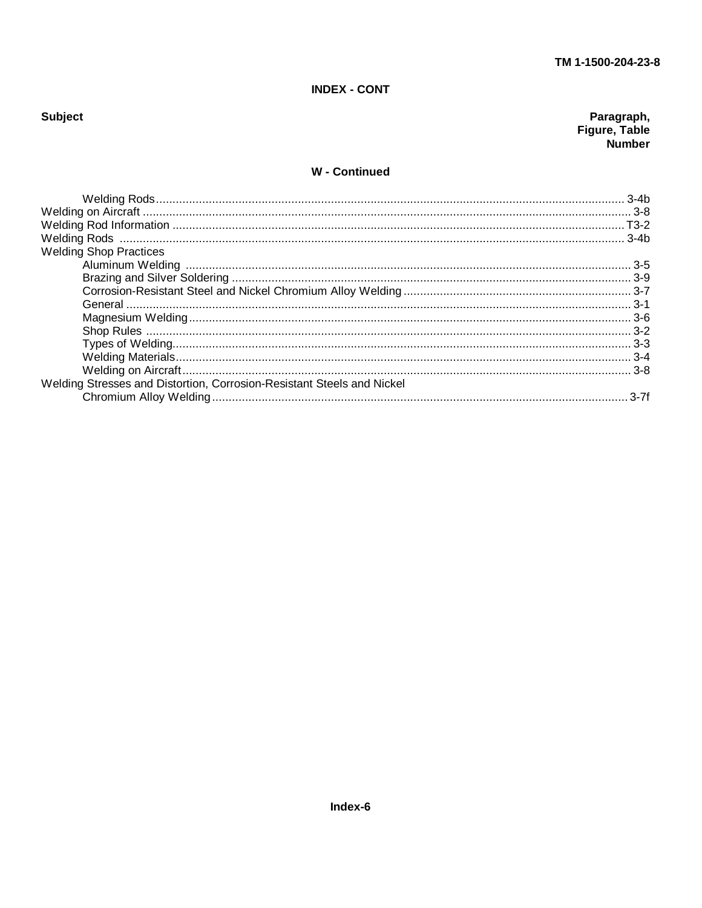#### **INDEX - CONT**

### **Subject**

# Paragraph,<br>Figure, Table<br>Number

#### W - Continued

| <b>Welding Shop Practices</b>                                          |  |
|------------------------------------------------------------------------|--|
|                                                                        |  |
|                                                                        |  |
|                                                                        |  |
|                                                                        |  |
|                                                                        |  |
|                                                                        |  |
|                                                                        |  |
|                                                                        |  |
|                                                                        |  |
| Welding Stresses and Distortion, Corrosion-Resistant Steels and Nickel |  |
|                                                                        |  |
|                                                                        |  |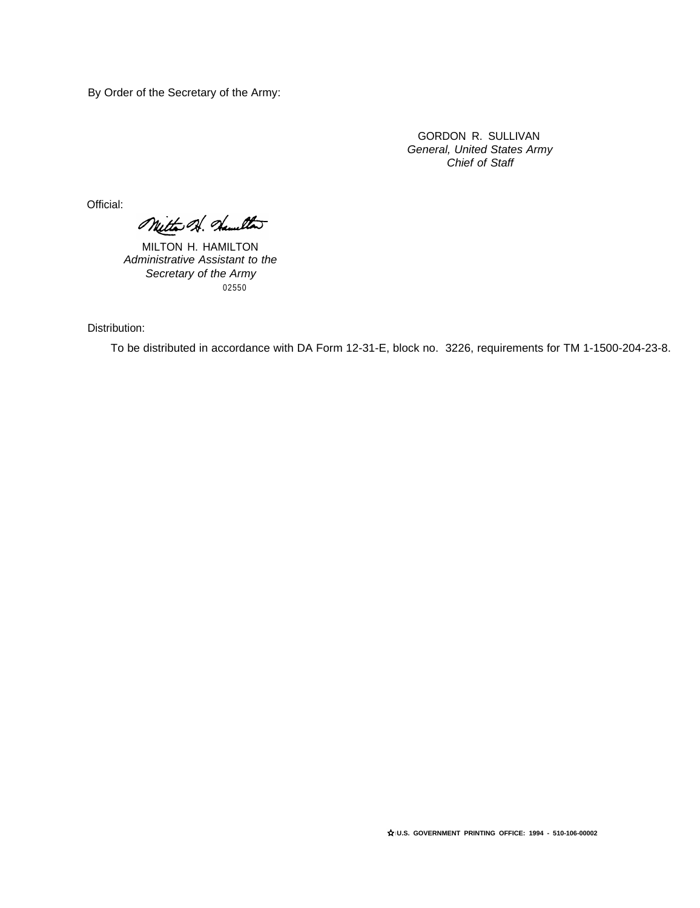By Order of the Secretary of the Army:

GORDON R. SULLIVAN General, United States Army Chief of Staff

Official:

Mitta A. Hamilton

MILTON H. HAMILTON Administrative Assistant to the Secretary of the Army 02550

Distribution:

To be distributed in accordance with DA Form 12-31-E, block no. 3226, requirements for TM 1-1500-204-23-8.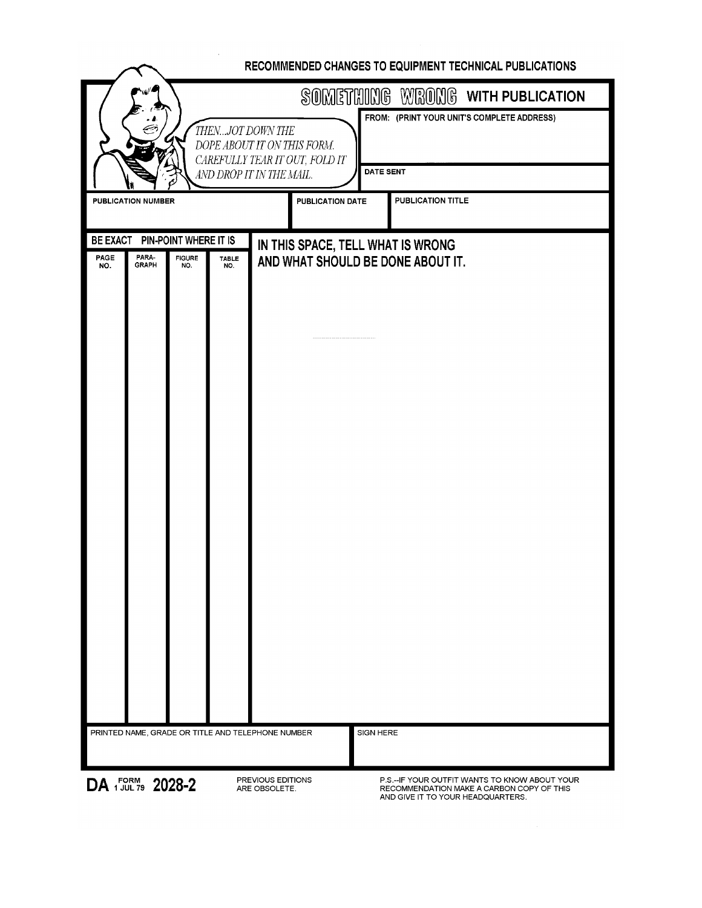|                                                   |                       |                                               |                                              |                                    |                                                               |                  | RECOMMENDED CHANGES TO EQUIPMENT TECHNICAL PUBLICATIONS                                                                         |
|---------------------------------------------------|-----------------------|-----------------------------------------------|----------------------------------------------|------------------------------------|---------------------------------------------------------------|------------------|---------------------------------------------------------------------------------------------------------------------------------|
|                                                   |                       |                                               |                                              |                                    |                                                               |                  | SOMETHING WRONG WITH PUBLICATION                                                                                                |
|                                                   |                       |                                               | THENJOT DOWN THE<br>AND DROP IT IN THE MAIL. |                                    | DOPE ABOUT IT ON THIS FORM.<br>CAREFULLY TEAR IT OUT, FOLD IT | <b>DATE SENT</b> | FROM: (PRINT YOUR UNIT'S COMPLETE ADDRESS)                                                                                      |
| <b>PUBLICATION NUMBER</b>                         |                       |                                               |                                              |                                    | <b>PUBLICATION DATE</b>                                       |                  | <b>PUBLICATION TITLE</b>                                                                                                        |
| <b>BE EXACT</b><br>PAGE<br>NO.                    | PARA-<br><b>GRAPH</b> | PIN-POINT WHERE IT IS<br><b>FIGURE</b><br>NO. | <b>TABLE</b><br>NO.                          |                                    |                                                               |                  | IN THIS SPACE, TELL WHAT IS WRONG<br>AND WHAT SHOULD BE DONE ABOUT IT.                                                          |
| PRINTED NAME, GRADE OR TITLE AND TELEPHONE NUMBER |                       |                                               |                                              |                                    |                                                               | <b>SIGN HERE</b> |                                                                                                                                 |
|                                                   |                       |                                               |                                              |                                    |                                                               |                  |                                                                                                                                 |
| DA FORM 2028-2                                    |                       |                                               |                                              | PREVIOUS EDITIONS<br>ARE OBSOLETE. |                                                               |                  | P.S.--IF YOUR OUTFIT WANTS TO KNOW ABOUT YOUR<br>RECOMMENDATION MAKE A CARBON COPY OF THIS<br>AND GIVE IT TO YOUR HEADQUARTERS. |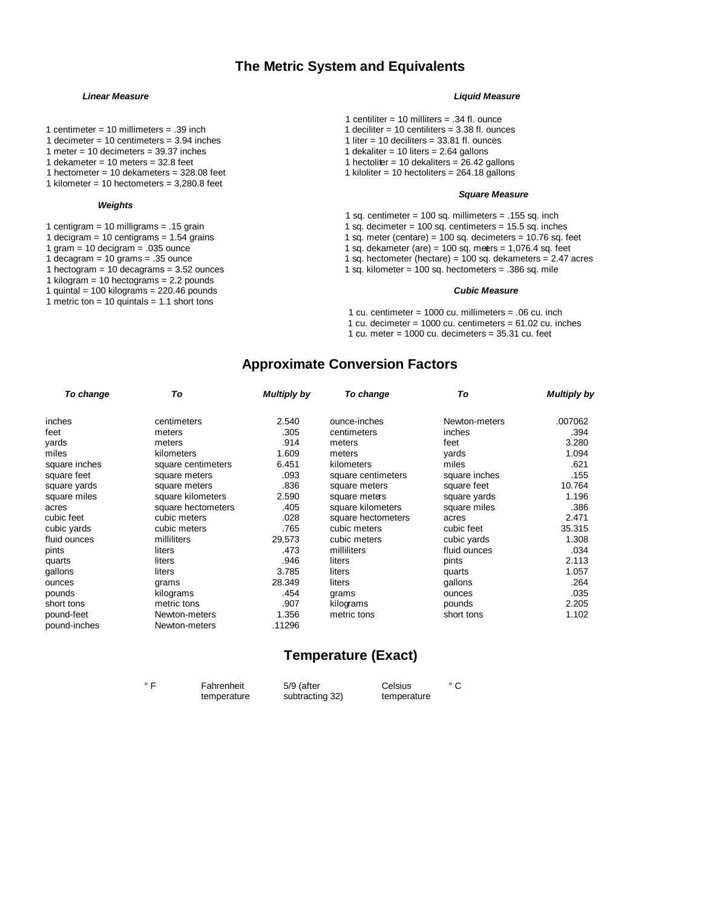#### **The Metric System and Equivalents**

- 1 centimeter = 10 millimeters = .39 inch 1 deciliter = 10 centiliters = 3.38 fl. ounces<br>1 decimeter = 10 centimeters = 3.94 inches 1 liter = 10 deciliters = 33.81 fl. ounces
- 1 decimeter = 10 centimeters = 3.94 inches 1 liter = 10 deciliters = 33.81 fl. ounces<br>1 meter = 10 decimeters = 39.37 inches 1 dekaliter = 10 liters = 2.64 gallons
- 1 meter = 10 decimeters =  $39.37$  inches
- 1 dekameter = 10 meters = 32.8 feet 1 hectoliter = 10 dekaliters = 26.42 gallons<br>1 hectometer = 10 dekameters = 328.08 feet 1 hectoliter = 10 hectoliters = 264.18 gallons
- 
- 1 kilometer = 10 hectometers =  $3,280.8$  feet

#### *Weights*

- 
- 
- 
- 
- 1 kilogram = 10 hectograms = 2.2 pounds
- 1 quintal = 100 kilograms = 220.46 pounds *Cubic Measure*
- 1 metric ton = 10 quintals = 1.1 short tons

#### *Linear Measure Liquid Measure*

- 1 centiliter =  $10$  milliters =  $.34$  fl. ounce
- 
- 
- 
- 
- 1 kiloliter = 10 hectoliters =  $264.18$  gallons

#### *Square Measure*

- 1 sq. centimeter = 100 sq. millimeters = .155 sq. inch
- 1 centigram = 10 milligrams = .15 grain 1 sq. decimeter = 100 sq. centimeters = 15.5 sq. inches
	- 1 sq. meter (centare) = 100 sq. decimeters = 10.76 sq. feet
- 1 gram = 10 decigram = .035 ounce 1 sq. dekameter (are) = 100 sq. meters = 1,076.4 sq. feet<br>1 sq. hectometer (hectare) = 100 sq. dekameters = 2.47 s
	- 1 sq. hectometer (hectare) = 100 sq. dekameters =  $2.47$  acres
- 1 hectogram = 10 decagrams = 3.52 ounces 1 sq. kilometer = 100 sq. hectometers = .386 sq. mile

- 1 cu. centimeter = 1000 cu. millimeters = .06 cu. inch
- 1 cu. decimeter =  $1000$  cu. centimeters =  $61.02$  cu. inches
- 1 cu. meter =  $1000$  cu. decimeters =  $35.31$  cu. feet

#### **Approximate Conversion Factors**

| To change     | To                 | <b>Multiply by</b> | To change          | To            | <b>Multiply by</b> |
|---------------|--------------------|--------------------|--------------------|---------------|--------------------|
| inches        | centimeters        | 2.540              | ounce-inches       | Newton-meters | .007062            |
| feet          | meters             | .305               | centimeters        | inches        | .394               |
| vards         | meters             | .914               | meters             | feet          | 3.280              |
| miles         | kilometers         | 1.609              | meters             | yards         | 1.094              |
| square inches | square centimeters | 6.451              | kilometers         | miles         | .621               |
| square feet   | square meters      | .093               | square centimeters | square inches | .155               |
| square yards  | square meters      | .836               | square meters      | square feet   | 10.764             |
| square miles  | square kilometers  | 2.590              | square meters      | square yards  | 1.196              |
| acres         | square hectometers | .405               | square kilometers  | square miles  | .386               |
| cubic feet    | cubic meters       | .028               | square hectometers | acres         | 2.471              |
| cubic yards   | cubic meters       | .765               | cubic meters       | cubic feet    | 35.315             |
| fluid ounces  | milliliters        | 29,573             | cubic meters       | cubic yards   | 1.308              |
| pints         | liters             | .473               | milliliters        | fluid ounces  | .034               |
| quarts        | liters             | .946               | liters             | pints         | 2.113              |
| gallons       | liters             | 3.785              | liters             | quarts        | 1.057              |
| ounces        | grams              | 28.349             | liters             | gallons       | .264               |
| pounds        | kilograms          | .454               | grams              | ounces        | .035               |
| short tons    | metric tons        | .907               | kilograms          | pounds        | 2.205              |
| pound-feet    | Newton-meters      | 1.356              | metric tons        | short tons    | 1.102              |
| pound-inches  | Newton-meters      | .11296             |                    |               |                    |

#### **Temperature (Exact)**

| ◦⊏ | Fahrenheit  | 5/9 (after      | Celsius     |  |
|----|-------------|-----------------|-------------|--|
|    | temperature | subtracting 32) | temperature |  |